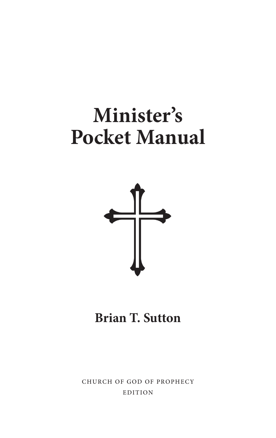# **Minister's Pocket Manual**



## **Brian T. Sutton**

CHURCH OF GOD OF PROPHECY EDITION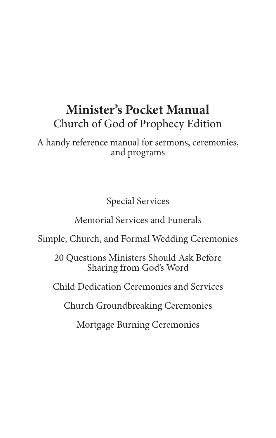## **Minister's Pocket Manual** Church of God of Prophecy Edition

A handy reference manual for sermons, ceremonies, and programs

Special Services

Memorial Services and Funerals

Simple, Church, and Formal Wedding Ceremonies

20 Questions Ministers Should Ask Before Sharing from God's Word

Child Dedication Ceremonies and Services

Church Groundbreaking Ceremonies

Mortgage Burning Ceremonies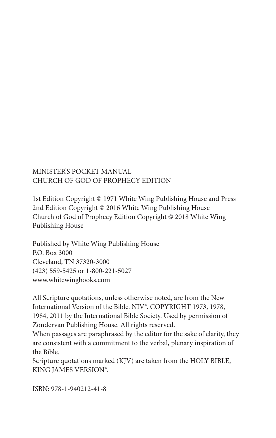#### MINISTER'S POCKET MANUAL CHURCH OF GOD OF PROPHECY EDITION

1st Edition Copyright © 1971 White Wing Publishing House and Press 2nd Edition Copyright © 2016 White Wing Publishing House Church of God of Prophecy Edition Copyright © 2018 White Wing Publishing House

Published by White Wing Publishing House P.O. Box 3000 Cleveland, TN 37320-3000 (423) 559-5425 or 1-800-221-5027 www.whitewingbooks.com

All Scripture quotations, unless otherwise noted, are from the New International Version of the Bible. NIV®. COPYRIGHT 1973, 1978, 1984, 2011 by the International Bible Society. Used by permission of Zondervan Publishing House. All rights reserved.

When passages are paraphrased by the editor for the sake of clarity, they are consistent with a commitment to the verbal, plenary inspiration of the Bible.

Scripture quotations marked (KJV) are taken from the HOLY BIBLE, KING JAMES VERSION®.

ISBN: 978-1-940212-41-8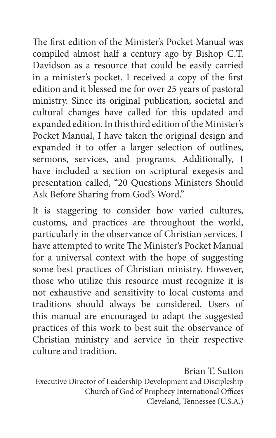The first edition of the Minister's Pocket Manual was compiled almost half a century ago by Bishop C.T. Davidson as a resource that could be easily carried in a minister's pocket. I received a copy of the first edition and it blessed me for over 25 years of pastoral ministry. Since its original publication, societal and cultural changes have called for this updated and expanded edition. In this third edition of the Minister's Pocket Manual, I have taken the original design and expanded it to offer a larger selection of outlines, sermons, services, and programs. Additionally, I have included a section on scriptural exegesis and presentation called, "20 Questions Ministers Should Ask Before Sharing from God's Word."

It is staggering to consider how varied cultures, customs, and practices are throughout the world, particularly in the observance of Christian services. I have attempted to write The Minister's Pocket Manual for a universal context with the hope of suggesting some best practices of Christian ministry. However, those who utilize this resource must recognize it is not exhaustive and sensitivity to local customs and traditions should always be considered. Users of this manual are encouraged to adapt the suggested practices of this work to best suit the observance of Christian ministry and service in their respective culture and tradition.

Brian T. Sutton Executive Director of Leadership Development and Discipleship Church of God of Prophecy International Offices Cleveland, Tennessee (U.S.A.)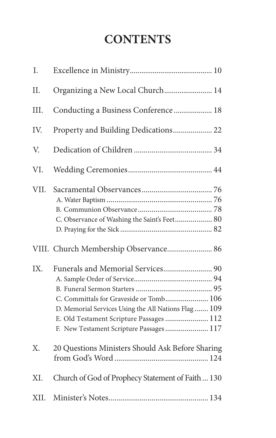## **CONTENTS**

| Ι.   |                                                                                                                                                                                       |
|------|---------------------------------------------------------------------------------------------------------------------------------------------------------------------------------------|
| II.  | Organizing a New Local Church 14                                                                                                                                                      |
| III. | Conducting a Business Conference  18                                                                                                                                                  |
| IV.  | Property and Building Dedications 22                                                                                                                                                  |
| V.   |                                                                                                                                                                                       |
| VI.  |                                                                                                                                                                                       |
| VII. | C. Observance of Washing the Saint's Feet 80                                                                                                                                          |
|      | VIII. Church Membership Observance 86                                                                                                                                                 |
| IX.  | C. Committals for Graveside or Tomb 106<br>D. Memorial Services Using the All Nations Flag  109<br>E. Old Testament Scripture Passages 112<br>F. New Testament Scripture Passages 117 |
| Χ.   | 20 Questions Ministers Should Ask Before Sharing                                                                                                                                      |
| XI.  | Church of God of Prophecy Statement of Faith  130                                                                                                                                     |
| XII. |                                                                                                                                                                                       |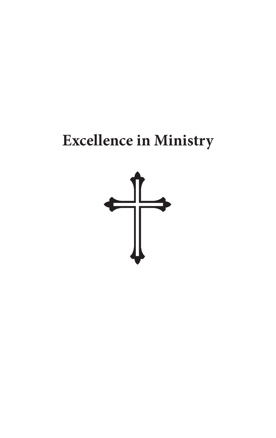# **Excellence in Ministry**

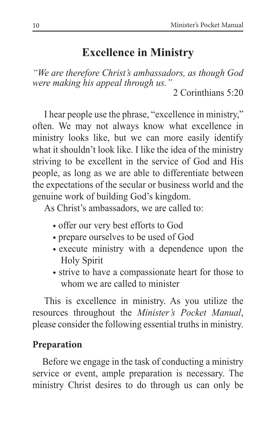### **Excellence in Ministry**

*"We are therefore Christ's ambassadors, as though God were making his appeal through us."*

2 Corinthians 5:20

I hear people use the phrase, "excellence in ministry," often. We may not always know what excellence in ministry looks like, but we can more easily identify what it shouldn't look like. I like the idea of the ministry striving to be excellent in the service of God and His people, as long as we are able to differentiate between the expectations of the secular or business world and the genuine work of building God's kingdom.

As Christ's ambassadors, we are called to:

- offer our very best efforts to God
- prepare ourselves to be used of God
- execute ministry with a dependence upon the Holy Spirit
- strive to have a compassionate heart for those to whom we are called to minister

This is excellence in ministry. As you utilize the resources throughout the *Minister's Pocket Manual*, please consider the following essential truths in ministry.

#### **Preparation**

Before we engage in the task of conducting a ministry service or event, ample preparation is necessary. The ministry Christ desires to do through us can only be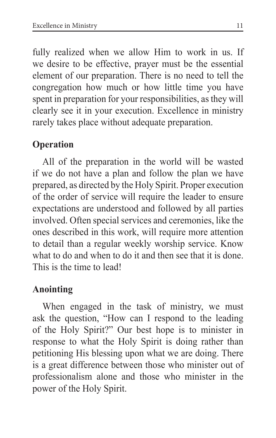fully realized when we allow Him to work in us. If we desire to be effective, prayer must be the essential element of our preparation. There is no need to tell the congregation how much or how little time you have spent in preparation for your responsibilities, as they will clearly see it in your execution. Excellence in ministry rarely takes place without adequate preparation.

#### **Operation**

All of the preparation in the world will be wasted if we do not have a plan and follow the plan we have prepared, as directed by the Holy Spirit. Proper execution of the order of service will require the leader to ensure expectations are understood and followed by all parties involved. Often special services and ceremonies, like the ones described in this work, will require more attention to detail than a regular weekly worship service. Know what to do and when to do it and then see that it is done. This is the time to lead!

#### **Anointing**

When engaged in the task of ministry, we must ask the question, "How can I respond to the leading of the Holy Spirit?" Our best hope is to minister in response to what the Holy Spirit is doing rather than petitioning His blessing upon what we are doing. There is a great difference between those who minister out of professionalism alone and those who minister in the power of the Holy Spirit.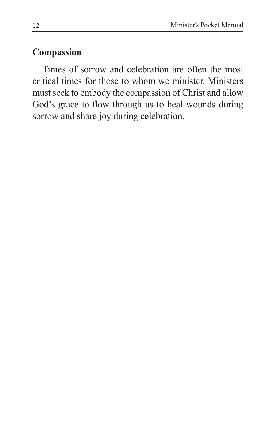#### **Compassion**

Times of sorrow and celebration are often the most critical times for those to whom we minister. Ministers must seek to embody the compassion of Christ and allow God's grace to flow through us to heal wounds during sorrow and share joy during celebration.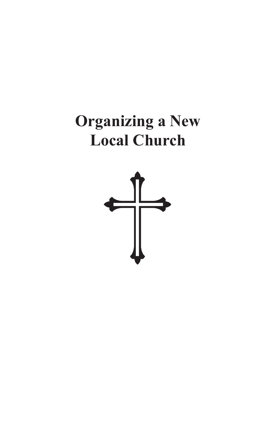## **Organizing a New Local Church**

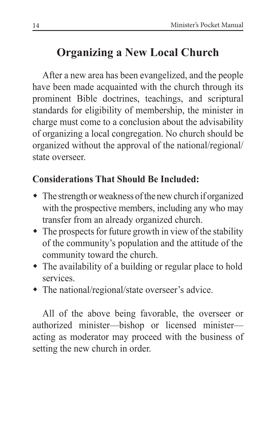### **Organizing a New Local Church**

After a new area has been evangelized, and the people have been made acquainted with the church through its prominent Bible doctrines, teachings, and scriptural standards for eligibility of membership, the minister in charge must come to a conclusion about the advisability of organizing a local congregation. No church should be organized without the approval of the national/regional/ state overseer.

#### **Considerations That Should Be Included:**

- $\bullet$  The strength or weakness of the new church if organized with the prospective members, including any who may transfer from an already organized church.
- $\bullet$  The prospects for future growth in view of the stability of the community's population and the attitude of the community toward the church.
- The availability of a building or regular place to hold services.
- The national/regional/state overseer's advice.

All of the above being favorable, the overseer or authorized minister—bishop or licensed minister acting as moderator may proceed with the business of setting the new church in order.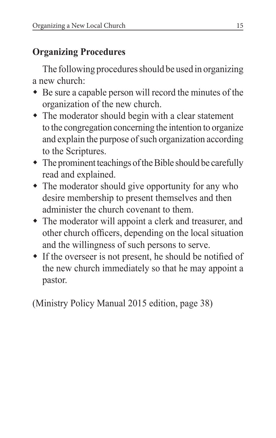### **Organizing Procedures**

The following procedures should be used in organizing a new church:

- w Be sure a capable person will record the minutes of the organization of the new church.
- The moderator should begin with a clear statement to the congregation concerning the intention to organize and explain the purpose of such organization according to the Scriptures.
- $\bullet$  The prominent teachings of the Bible should be carefully read and explained.
- $\bullet$  The moderator should give opportunity for any who desire membership to present themselves and then administer the church covenant to them.
- The moderator will appoint a clerk and treasurer, and other church officers, depending on the local situation and the willingness of such persons to serve.
- If the overseer is not present, he should be notified of the new church immediately so that he may appoint a pastor.

(Ministry Policy Manual 2015 edition, page 38)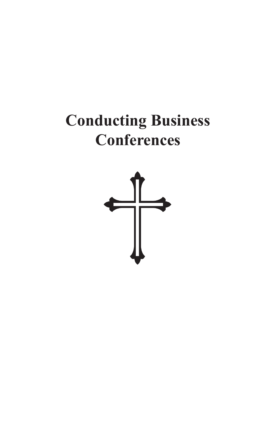## **Conducting Business Conferences**

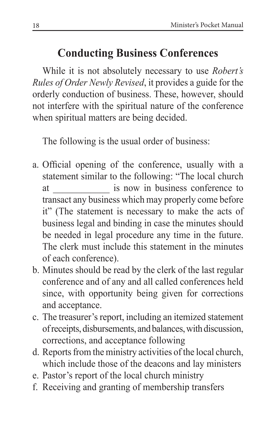## **Conducting Business Conferences**

While it is not absolutely necessary to use *Robert's Rules of Order Newly Revised*, it provides a guide for the orderly conduction of business. These, however, should not interfere with the spiritual nature of the conference when spiritual matters are being decided.

The following is the usual order of business:

- a. Official opening of the conference, usually with a statement similar to the following: "The local church at \_\_\_\_\_\_\_\_\_\_\_\_ is now in business conference to transact any business which may properly come before it" (The statement is necessary to make the acts of business legal and binding in case the minutes should be needed in legal procedure any time in the future. The clerk must include this statement in the minutes of each conference).
- b. Minutes should be read by the clerk of the last regular conference and of any and all called conferences held since, with opportunity being given for corrections and acceptance.
- c. The treasurer's report, including an itemized statement of receipts, disbursements, and balances, with discussion, corrections, and acceptance following
- d. Reports from the ministry activities of the local church, which include those of the deacons and lay ministers
- e. Pastor's report of the local church ministry
- f. Receiving and granting of membership transfers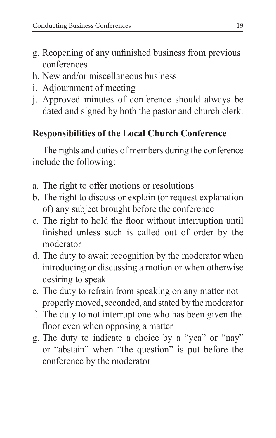- g. Reopening of any unfinished business from previous conferences
- h. New and/or miscellaneous business
- i. Adjournment of meeting
- j. Approved minutes of conference should always be dated and signed by both the pastor and church clerk.

#### **Responsibilities of the Local Church Conference**

The rights and duties of members during the conference include the following:

- a. The right to offer motions or resolutions
- b. The right to discuss or explain (or request explanation of) any subject brought before the conference
- c. The right to hold the floor without interruption until finished unless such is called out of order by the moderator
- d. The duty to await recognition by the moderator when introducing or discussing a motion or when otherwise desiring to speak
- e. The duty to refrain from speaking on any matter not properly moved, seconded, and stated by the moderator
- f. The duty to not interrupt one who has been given the floor even when opposing a matter
- g. The duty to indicate a choice by a "yea" or "nay" or "abstain" when "the question" is put before the conference by the moderator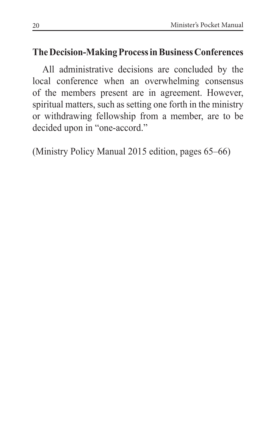#### **The Decision-Making Process in Business Conferences**

All administrative decisions are concluded by the local conference when an overwhelming consensus of the members present are in agreement. However, spiritual matters, such as setting one forth in the ministry or withdrawing fellowship from a member, are to be decided upon in "one-accord."

(Ministry Policy Manual 2015 edition, pages 65–66)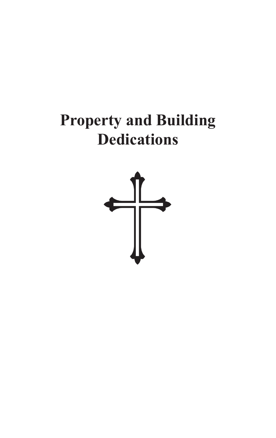## **Property and Building Dedications**

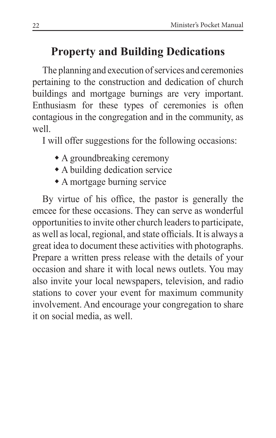### **Property and Building Dedications**

The planning and execution of services and ceremonies pertaining to the construction and dedication of church buildings and mortgage burnings are very important. Enthusiasm for these types of ceremonies is often contagious in the congregation and in the community, as well.

I will offer suggestions for the following occasions:

- $\bullet$  A groundbreaking ceremony
- $\bullet$  A building dedication service
- A mortgage burning service

By virtue of his office, the pastor is generally the emcee for these occasions. They can serve as wonderful opportunities to invite other church leaders to participate, as well as local, regional, and state officials. It is always a great idea to document these activities with photographs. Prepare a written press release with the details of your occasion and share it with local news outlets. You may also invite your local newspapers, television, and radio stations to cover your event for maximum community involvement. And encourage your congregation to share it on social media, as well.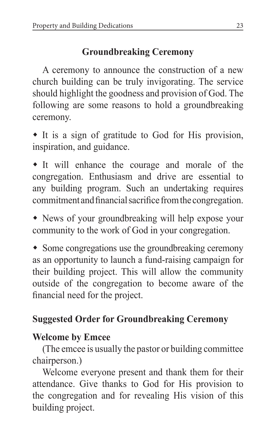#### **Groundbreaking Ceremony**

A ceremony to announce the construction of a new church building can be truly invigorating. The service should highlight the goodness and provision of God. The following are some reasons to hold a groundbreaking ceremony.

 $\bullet$  It is a sign of gratitude to God for His provision, inspiration, and guidance.

• It will enhance the courage and morale of the congregation. Enthusiasm and drive are essential to any building program. Such an undertaking requires commitment and financial sacrifice from the congregation.

• News of your groundbreaking will help expose your community to the work of God in your congregation.

• Some congregations use the groundbreaking ceremony as an opportunity to launch a fund-raising campaign for their building project. This will allow the community outside of the congregation to become aware of the financial need for the project.

#### **Suggested Order for Groundbreaking Ceremony**

#### **Welcome by Emcee**

(The emcee is usually the pastor or building committee chairperson.)

Welcome everyone present and thank them for their attendance. Give thanks to God for His provision to the congregation and for revealing His vision of this building project.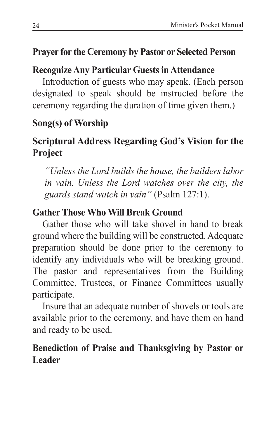#### **Prayer for the Ceremony by Pastor or Selected Person**

#### **Recognize Any Particular Guests in Attendance**

Introduction of guests who may speak. (Each person designated to speak should be instructed before the ceremony regarding the duration of time given them.)

#### **Song(s) of Worship**

#### **Scriptural Address Regarding God's Vision for the Project**

*"Unless the Lord builds the house, the builders labor in vain. Unless the Lord watches over the city, the guards stand watch in vain"* (Psalm 127:1).

#### **Gather Those Who Will Break Ground**

Gather those who will take shovel in hand to break ground where the building will be constructed. Adequate preparation should be done prior to the ceremony to identify any individuals who will be breaking ground. The pastor and representatives from the Building Committee, Trustees, or Finance Committees usually participate.

Insure that an adequate number of shovels or tools are available prior to the ceremony, and have them on hand and ready to be used.

#### **Benediction of Praise and Thanksgiving by Pastor or Leader**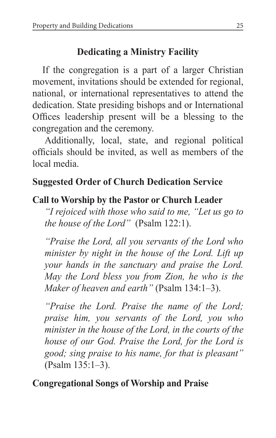#### **Dedicating a Ministry Facility**

If the congregation is a part of a larger Christian movement, invitations should be extended for regional, national, or international representatives to attend the dedication. State presiding bishops and or International Offices leadership present will be a blessing to the congregation and the ceremony.

 Additionally, local, state, and regional political officials should be invited, as well as members of the local media.

#### **Suggested Order of Church Dedication Service**

#### **Call to Worship by the Pastor or Church Leader**

*"I rejoiced with those who said to me, "Let us go to the house of the Lord"* (Psalm 122:1).

*"Praise the Lord, all you servants of the Lord who minister by night in the house of the Lord. Lift up your hands in the sanctuary and praise the Lord. May the Lord bless you from Zion, he who is the Maker of heaven and earth"* (Psalm 134:1–3).

*"Praise the Lord. Praise the name of the Lord; praise him, you servants of the Lord, you who minister in the house of the Lord, in the courts of the house of our God. Praise the Lord, for the Lord is good; sing praise to his name, for that is pleasant"*  (Psalm 135:1–3).

#### **Congregational Songs of Worship and Praise**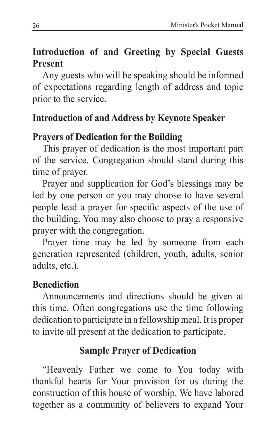#### **Introduction of and Greeting by Special Guests Present**

Any guests who will be speaking should be informed of expectations regarding length of address and topic prior to the service.

#### **Introduction of and Address by Keynote Speaker**

#### **Prayers of Dedication for the Building**

This prayer of dedication is the most important part of the service. Congregation should stand during this time of prayer.

Prayer and supplication for God's blessings may be led by one person or you may choose to have several people lead a prayer for specific aspects of the use of the building. You may also choose to pray a responsive prayer with the congregation.

Prayer time may be led by someone from each generation represented (children, youth, adults, senior adults, etc.).

#### **Benediction**

Announcements and directions should be given at this time. Often congregations use the time following dedication to participate in a fellowship meal. It is proper to invite all present at the dedication to participate.

#### **Sample Prayer of Dedication**

"Heavenly Father we come to You today with thankful hearts for Your provision for us during the construction of this house of worship. We have labored together as a community of believers to expand Your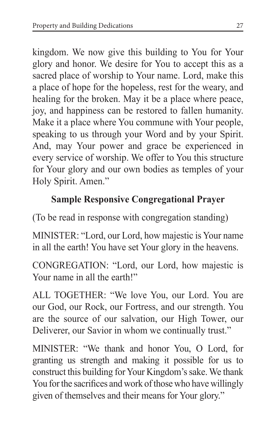kingdom. We now give this building to You for Your glory and honor. We desire for You to accept this as a sacred place of worship to Your name. Lord, make this a place of hope for the hopeless, rest for the weary, and healing for the broken. May it be a place where peace, joy, and happiness can be restored to fallen humanity. Make it a place where You commune with Your people, speaking to us through your Word and by your Spirit. And, may Your power and grace be experienced in every service of worship. We offer to You this structure for Your glory and our own bodies as temples of your Holy Spirit. Amen."

#### **Sample Responsive Congregational Prayer**

(To be read in response with congregation standing)

MINISTER: "Lord, our Lord, how majestic is Your name in all the earth! You have set Your glory in the heavens.

CONGREGATION: "Lord, our Lord, how majestic is Your name in all the earth!"

ALL TOGETHER: "We love You, our Lord. You are our God, our Rock, our Fortress, and our strength. You are the source of our salvation, our High Tower, our Deliverer, our Savior in whom we continually trust."

MINISTER: "We thank and honor You, O Lord, for granting us strength and making it possible for us to construct this building for Your Kingdom's sake. We thank You for the sacrifices and work of those who have willingly given of themselves and their means for Your glory."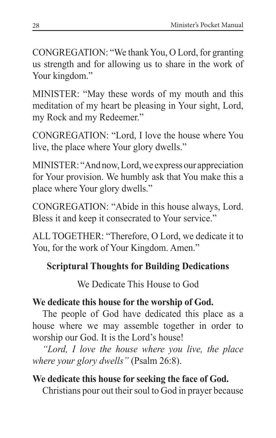CONGREGATION: "We thank You, O Lord, for granting us strength and for allowing us to share in the work of Your kingdom."

MINISTER: "May these words of my mouth and this meditation of my heart be pleasing in Your sight, Lord, my Rock and my Redeemer."

CONGREGATION: "Lord, I love the house where You live, the place where Your glory dwells."

MINISTER: "And now, Lord, we express our appreciation for Your provision. We humbly ask that You make this a place where Your glory dwells."

CONGREGATION: "Abide in this house always, Lord. Bless it and keep it consecrated to Your service."

ALL TOGETHER: "Therefore, O Lord, we dedicate it to You, for the work of Your Kingdom. Amen."

#### **Scriptural Thoughts for Building Dedications**

We Dedicate This House to God

#### **We dedicate this house for the worship of God.**

The people of God have dedicated this place as a house where we may assemble together in order to worship our God. It is the Lord's house!

*"Lord, I love the house where you live, the place where your glory dwells"* (Psalm 26:8).

#### **We dedicate this house for seeking the face of God.**

Christians pour out their soul to God in prayer because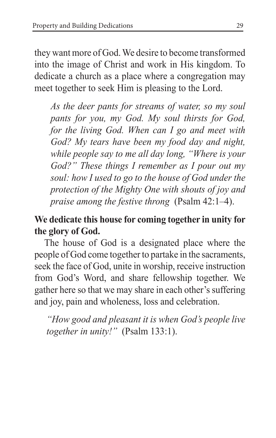they want more of God. We desire to become transformed into the image of Christ and work in His kingdom. To dedicate a church as a place where a congregation may meet together to seek Him is pleasing to the Lord.

*As the deer pants for streams of water, so my soul pants for you, my God. My soul thirsts for God, for the living God. When can I go and meet with God? My tears have been my food day and night, while people say to me all day long, "Where is your God?" These things I remember as I pour out my soul: how I used to go to the house of God under the protection of the Mighty One with shouts of joy and praise among the festive throng* (Psalm 42:1–4).

#### **We dedicate this house for coming together in unity for the glory of God.**

The house of God is a designated place where the people of God come together to partake in the sacraments, seek the face of God, unite in worship, receive instruction from God's Word, and share fellowship together. We gather here so that we may share in each other's suffering and joy, pain and wholeness, loss and celebration.

*"How good and pleasant it is when God's people live together in unity!"* (Psalm 133:1).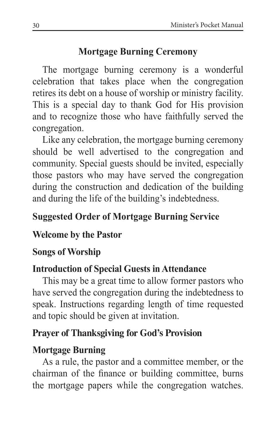#### **Mortgage Burning Ceremony**

The mortgage burning ceremony is a wonderful celebration that takes place when the congregation retires its debt on a house of worship or ministry facility. This is a special day to thank God for His provision and to recognize those who have faithfully served the congregation.

Like any celebration, the mortgage burning ceremony should be well advertised to the congregation and community. Special guests should be invited, especially those pastors who may have served the congregation during the construction and dedication of the building and during the life of the building's indebtedness.

#### **Suggested Order of Mortgage Burning Service**

#### **Welcome by the Pastor**

#### **Songs of Worship**

#### **Introduction of Special Guests in Attendance**

This may be a great time to allow former pastors who have served the congregation during the indebtedness to speak. Instructions regarding length of time requested and topic should be given at invitation.

#### **Prayer of Thanksgiving for God's Provision**

#### **Mortgage Burning**

As a rule, the pastor and a committee member, or the chairman of the finance or building committee, burns the mortgage papers while the congregation watches.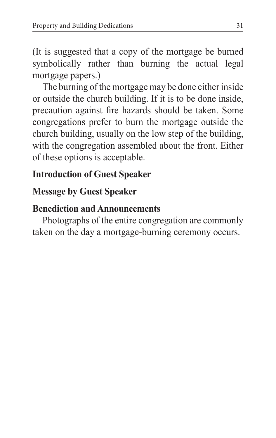(It is suggested that a copy of the mortgage be burned symbolically rather than burning the actual legal mortgage papers.)

The burning of the mortgage may be done either inside or outside the church building. If it is to be done inside, precaution against fire hazards should be taken. Some congregations prefer to burn the mortgage outside the church building, usually on the low step of the building, with the congregation assembled about the front. Either of these options is acceptable.

#### **Introduction of Guest Speaker**

#### **Message by Guest Speaker**

#### **Benediction and Announcements**

Photographs of the entire congregation are commonly taken on the day a mortgage-burning ceremony occurs.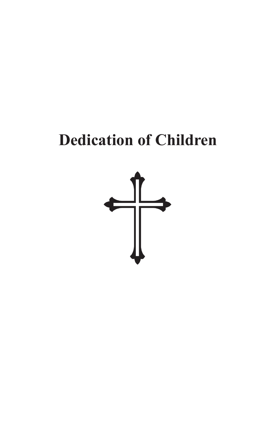## **Dedication of Children**

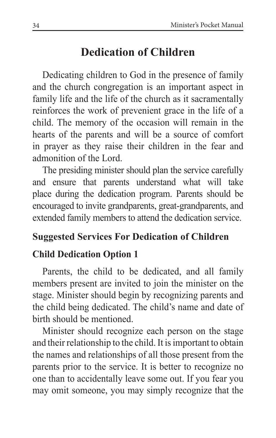### **Dedication of Children**

Dedicating children to God in the presence of family and the church congregation is an important aspect in family life and the life of the church as it sacramentally reinforces the work of prevenient grace in the life of a child. The memory of the occasion will remain in the hearts of the parents and will be a source of comfort in prayer as they raise their children in the fear and admonition of the Lord.

The presiding minister should plan the service carefully and ensure that parents understand what will take place during the dedication program. Parents should be encouraged to invite grandparents, great-grandparents, and extended family members to attend the dedication service.

#### **Suggested Services For Dedication of Children**

#### **Child Dedication Option 1**

Parents, the child to be dedicated, and all family members present are invited to join the minister on the stage. Minister should begin by recognizing parents and the child being dedicated. The child's name and date of birth should be mentioned.

Minister should recognize each person on the stage and their relationship to the child. It is important to obtain the names and relationships of all those present from the parents prior to the service. It is better to recognize no one than to accidentally leave some out. If you fear you may omit someone, you may simply recognize that the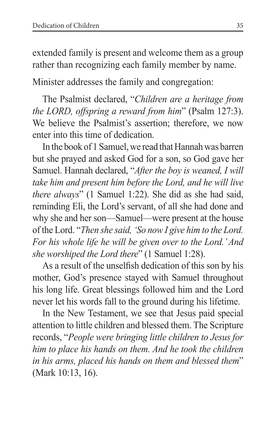extended family is present and welcome them as a group rather than recognizing each family member by name.

Minister addresses the family and congregation:

The Psalmist declared, "*Children are a heritage from the LORD, offspring a reward from him*" (Psalm 127:3). We believe the Psalmist's assertion; therefore, we now enter into this time of dedication.

In the book of 1 Samuel, we read that Hannah was barren but she prayed and asked God for a son, so God gave her Samuel. Hannah declared, "*After the boy is weaned, I will take him and present him before the Lord, and he will live there always*" (1 Samuel 1:22). She did as she had said, reminding Eli, the Lord's servant, of all she had done and why she and her son—Samuel—were present at the house of the Lord. "*Then she said, 'So now I give him to the Lord. For his whole life he will be given over to the Lord.' And she worshiped the Lord there*" (1 Samuel 1:28).

As a result of the unselfish dedication of this son by his mother, God's presence stayed with Samuel throughout his long life. Great blessings followed him and the Lord never let his words fall to the ground during his lifetime.

In the New Testament, we see that Jesus paid special attention to little children and blessed them. The Scripture records, "*People were bringing little children to Jesus for him to place his hands on them. And he took the children in his arms, placed his hands on them and blessed them*" (Mark 10:13, 16).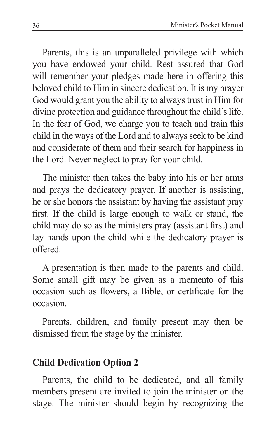Parents, this is an unparalleled privilege with which you have endowed your child. Rest assured that God will remember your pledges made here in offering this beloved child to Him in sincere dedication. It is my prayer God would grant you the ability to always trust in Him for divine protection and guidance throughout the child's life. In the fear of God, we charge you to teach and train this child in the ways of the Lord and to always seek to be kind and considerate of them and their search for happiness in the Lord. Never neglect to pray for your child.

The minister then takes the baby into his or her arms and prays the dedicatory prayer. If another is assisting, he or she honors the assistant by having the assistant pray first. If the child is large enough to walk or stand, the child may do so as the ministers pray (assistant first) and lay hands upon the child while the dedicatory prayer is offered.

A presentation is then made to the parents and child. Some small gift may be given as a memento of this occasion such as flowers, a Bible, or certificate for the occasion.

Parents, children, and family present may then be dismissed from the stage by the minister.

#### **Child Dedication Option 2**

Parents, the child to be dedicated, and all family members present are invited to join the minister on the stage. The minister should begin by recognizing the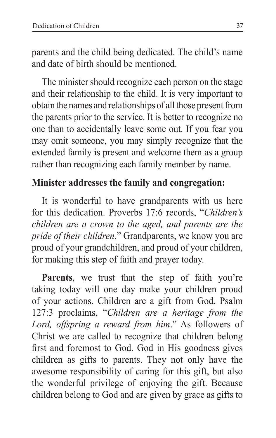parents and the child being dedicated. The child's name and date of birth should be mentioned.

The minister should recognize each person on the stage and their relationship to the child. It is very important to obtain the names and relationships of all those present from the parents prior to the service. It is better to recognize no one than to accidentally leave some out. If you fear you may omit someone, you may simply recognize that the extended family is present and welcome them as a group rather than recognizing each family member by name.

## **Minister addresses the family and congregation:**

It is wonderful to have grandparents with us here for this dedication. Proverbs 17:6 records, "*Children's children are a crown to the aged, and parents are the pride of their children.*" Grandparents, we know you are proud of your grandchildren, and proud of your children, for making this step of faith and prayer today.

Parents, we trust that the step of faith you're taking today will one day make your children proud of your actions. Children are a gift from God. Psalm 127:3 proclaims, "*Children are a heritage from the Lord, offspring a reward from him*." As followers of Christ we are called to recognize that children belong first and foremost to God. God in His goodness gives children as gifts to parents. They not only have the awesome responsibility of caring for this gift, but also the wonderful privilege of enjoying the gift. Because children belong to God and are given by grace as gifts to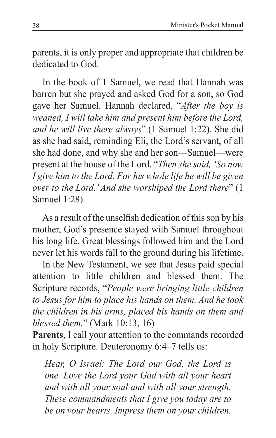parents, it is only proper and appropriate that children be dedicated to God.

In the book of 1 Samuel, we read that Hannah was barren but she prayed and asked God for a son, so God gave her Samuel. Hannah declared, "*After the boy is weaned, I will take him and present him before the Lord, and he will live there always*" (1 Samuel 1:22). She did as she had said, reminding Eli, the Lord's servant, of all she had done, and why she and her son—Samuel—were present at the house of the Lord. "*Then she said, 'So now I give him to the Lord. For his whole life he will be given over to the Lord.' And she worshiped the Lord there*" (1 Samuel 1:28).

As a result of the unselfish dedication of this son by his mother, God's presence stayed with Samuel throughout his long life. Great blessings followed him and the Lord never let his words fall to the ground during his lifetime.

In the New Testament, we see that Jesus paid special attention to little children and blessed them. The Scripture records, "*People were bringing little children to Jesus for him to place his hands on them. And he took the children in his arms, placed his hands on them and blessed them.*" (Mark 10:13, 16)

**Parents**, I call your attention to the commands recorded in holy Scripture. Deuteronomy 6:4–7 tells us:

*Hear, O Israel: The Lord our God, the Lord is one. Love the Lord your God with all your heart and with all your soul and with all your strength. These commandments that I give you today are to be on your hearts. Impress them on your children.*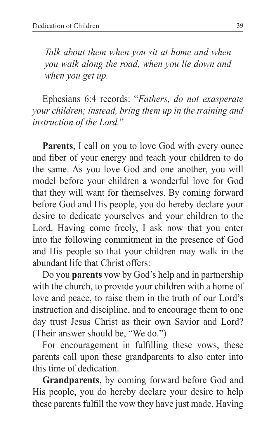*Talk about them when you sit at home and when you walk along the road, when you lie down and when you get up.*

Ephesians 6:4 records: "*Fathers, do not exasperate your children; instead, bring them up in the training and instruction of the Lord.*"

**Parents**, I call on you to love God with every ounce and fiber of your energy and teach your children to do the same. As you love God and one another, you will model before your children a wonderful love for God that they will want for themselves. By coming forward before God and His people, you do hereby declare your desire to dedicate yourselves and your children to the Lord. Having come freely, I ask now that you enter into the following commitment in the presence of God and His people so that your children may walk in the abundant life that Christ offers:

Do you **parents** vow by God's help and in partnership with the church, to provide your children with a home of love and peace, to raise them in the truth of our Lord's instruction and discipline, and to encourage them to one day trust Jesus Christ as their own Savior and Lord? (Their answer should be, "We do.")

For encouragement in fulfilling these vows, these parents call upon these grandparents to also enter into this time of dedication.

**Grandparents**, by coming forward before God and His people, you do hereby declare your desire to help these parents fulfill the vow they have just made. Having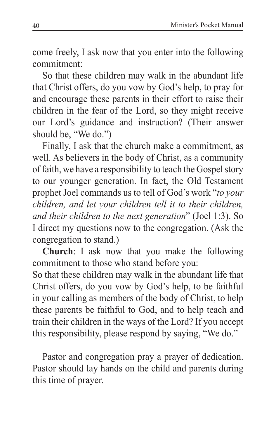come freely, I ask now that you enter into the following commitment:

So that these children may walk in the abundant life that Christ offers, do you vow by God's help, to pray for and encourage these parents in their effort to raise their children in the fear of the Lord, so they might receive our Lord's guidance and instruction? (Their answer should be, "We do.")

Finally, I ask that the church make a commitment, as well. As believers in the body of Christ, as a community of faith, we have a responsibility to teach the Gospel story to our younger generation. In fact, the Old Testament prophet Joel commands us to tell of God's work "*to your children, and let your children tell it to their children, and their children to the next generation*" (Joel 1:3). So I direct my questions now to the congregation. (Ask the congregation to stand.)

**Church**: I ask now that you make the following commitment to those who stand before you:

So that these children may walk in the abundant life that Christ offers, do you vow by God's help, to be faithful in your calling as members of the body of Christ, to help these parents be faithful to God, and to help teach and train their children in the ways of the Lord? If you accept this responsibility, please respond by saying, "We do."

Pastor and congregation pray a prayer of dedication. Pastor should lay hands on the child and parents during this time of prayer.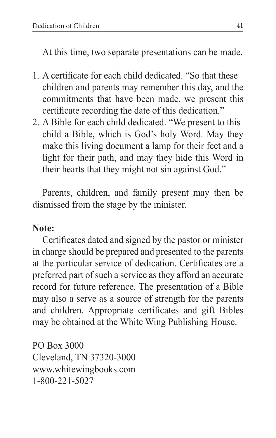At this time, two separate presentations can be made.

- 1. A certificate for each child dedicated. "So that these children and parents may remember this day, and the commitments that have been made, we present this certificate recording the date of this dedication."
- 2. A Bible for each child dedicated. "We present to this child a Bible, which is God's holy Word. May they make this living document a lamp for their feet and a light for their path, and may they hide this Word in their hearts that they might not sin against God."

Parents, children, and family present may then be dismissed from the stage by the minister.

## **Note:**

Certificates dated and signed by the pastor or minister in charge should be prepared and presented to the parents at the particular service of dedication. Certificates are a preferred part of such a service as they afford an accurate record for future reference. The presentation of a Bible may also a serve as a source of strength for the parents and children. Appropriate certificates and gift Bibles may be obtained at the White Wing Publishing House.

PO Box 3000 Cleveland, TN 37320-3000 www.whitewingbooks.com 1-800-221-5027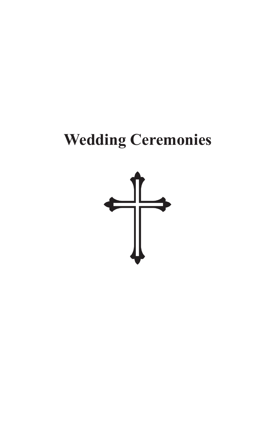# **Wedding Ceremonies**

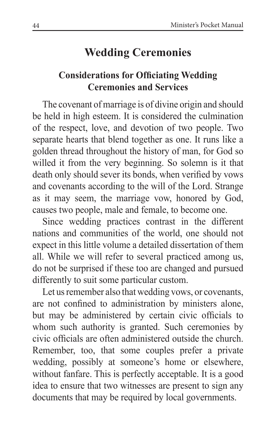# **Wedding Ceremonies**

## **Considerations for Officiating Wedding Ceremonies and Services**

The covenant of marriage is of divine origin and should be held in high esteem. It is considered the culmination of the respect, love, and devotion of two people. Two separate hearts that blend together as one. It runs like a golden thread throughout the history of man, for God so willed it from the very beginning. So solemn is it that death only should sever its bonds, when verified by vows and covenants according to the will of the Lord. Strange as it may seem, the marriage vow, honored by God, causes two people, male and female, to become one.

Since wedding practices contrast in the different nations and communities of the world, one should not expect in this little volume a detailed dissertation of them all. While we will refer to several practiced among us, do not be surprised if these too are changed and pursued differently to suit some particular custom.

Let us remember also that wedding vows, or covenants, are not confined to administration by ministers alone, but may be administered by certain civic officials to whom such authority is granted. Such ceremonies by civic officials are often administered outside the church. Remember, too, that some couples prefer a private wedding, possibly at someone's home or elsewhere, without fanfare. This is perfectly acceptable. It is a good idea to ensure that two witnesses are present to sign any documents that may be required by local governments.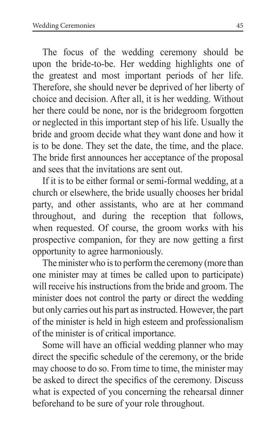The focus of the wedding ceremony should be upon the bride-to-be. Her wedding highlights one of the greatest and most important periods of her life. Therefore, she should never be deprived of her liberty of choice and decision. After all, it is her wedding. Without her there could be none, nor is the bridegroom forgotten or neglected in this important step of his life. Usually the bride and groom decide what they want done and how it is to be done. They set the date, the time, and the place. The bride first announces her acceptance of the proposal and sees that the invitations are sent out.

If it is to be either formal or semi-formal wedding, at a church or elsewhere, the bride usually chooses her bridal party, and other assistants, who are at her command throughout, and during the reception that follows, when requested. Of course, the groom works with his prospective companion, for they are now getting a first opportunity to agree harmoniously.

The minister who is to perform the ceremony (more than one minister may at times be called upon to participate) will receive his instructions from the bride and groom. The minister does not control the party or direct the wedding but only carries out his part as instructed. However, the part of the minister is held in high esteem and professionalism of the minister is of critical importance.

Some will have an official wedding planner who may direct the specific schedule of the ceremony, or the bride may choose to do so. From time to time, the minister may be asked to direct the specifics of the ceremony. Discuss what is expected of you concerning the rehearsal dinner beforehand to be sure of your role throughout.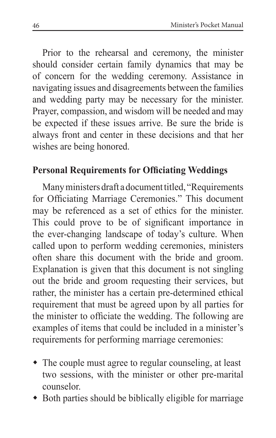Prior to the rehearsal and ceremony, the minister should consider certain family dynamics that may be of concern for the wedding ceremony. Assistance in navigating issues and disagreements between the families and wedding party may be necessary for the minister. Prayer, compassion, and wisdom will be needed and may be expected if these issues arrive. Be sure the bride is always front and center in these decisions and that her wishes are being honored.

## **Personal Requirements for Officiating Weddings**

Many ministers draft a document titled, "Requirements for Officiating Marriage Ceremonies." This document may be referenced as a set of ethics for the minister. This could prove to be of significant importance in the ever-changing landscape of today's culture. When called upon to perform wedding ceremonies, ministers often share this document with the bride and groom. Explanation is given that this document is not singling out the bride and groom requesting their services, but rather, the minister has a certain pre-determined ethical requirement that must be agreed upon by all parties for the minister to officiate the wedding. The following are examples of items that could be included in a minister's requirements for performing marriage ceremonies:

- The couple must agree to regular counseling, at least two sessions, with the minister or other pre-marital counselor.
- Both parties should be biblically eligible for marriage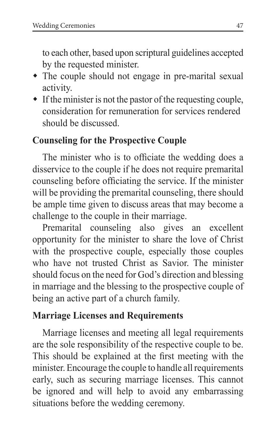to each other, based upon scriptural guidelines accepted by the requested minister.

- $\bullet$  The couple should not engage in pre-marital sexual activity.
- $\bullet$  If the minister is not the pastor of the requesting couple, consideration for remuneration for services rendered should be discussed.

## **Counseling for the Prospective Couple**

The minister who is to officiate the wedding does a disservice to the couple if he does not require premarital counseling before officiating the service. If the minister will be providing the premarital counseling, there should be ample time given to discuss areas that may become a challenge to the couple in their marriage.

Premarital counseling also gives an excellent opportunity for the minister to share the love of Christ with the prospective couple, especially those couples who have not trusted Christ as Savior. The minister should focus on the need for God's direction and blessing in marriage and the blessing to the prospective couple of being an active part of a church family.

## **Marriage Licenses and Requirements**

Marriage licenses and meeting all legal requirements are the sole responsibility of the respective couple to be. This should be explained at the first meeting with the minister. Encourage the couple to handle all requirements early, such as securing marriage licenses. This cannot be ignored and will help to avoid any embarrassing situations before the wedding ceremony.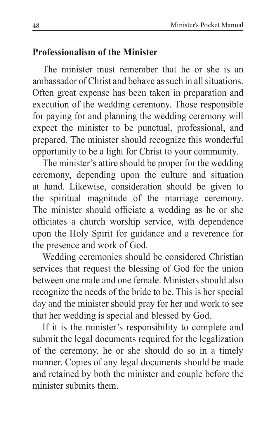## **Professionalism of the Minister**

The minister must remember that he or she is an ambassador of Christ and behave as such in all situations. Often great expense has been taken in preparation and execution of the wedding ceremony. Those responsible for paying for and planning the wedding ceremony will expect the minister to be punctual, professional, and prepared. The minister should recognize this wonderful opportunity to be a light for Christ to your community.

The minister's attire should be proper for the wedding ceremony, depending upon the culture and situation at hand. Likewise, consideration should be given to the spiritual magnitude of the marriage ceremony. The minister should officiate a wedding as he or she officiates a church worship service, with dependence upon the Holy Spirit for guidance and a reverence for the presence and work of God.

Wedding ceremonies should be considered Christian services that request the blessing of God for the union between one male and one female. Ministers should also recognize the needs of the bride to be. This is her special day and the minister should pray for her and work to see that her wedding is special and blessed by God.

If it is the minister's responsibility to complete and submit the legal documents required for the legalization of the ceremony, he or she should do so in a timely manner. Copies of any legal documents should be made and retained by both the minister and couple before the minister submits them.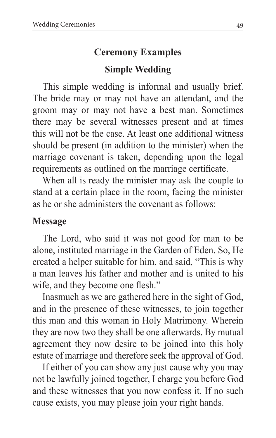#### **Ceremony Examples**

#### **Simple Wedding**

This simple wedding is informal and usually brief. The bride may or may not have an attendant, and the groom may or may not have a best man. Sometimes there may be several witnesses present and at times this will not be the case. At least one additional witness should be present (in addition to the minister) when the marriage covenant is taken, depending upon the legal requirements as outlined on the marriage certificate.

When all is ready the minister may ask the couple to stand at a certain place in the room, facing the minister as he or she administers the covenant as follows:

#### **Message**

The Lord, who said it was not good for man to be alone, instituted marriage in the Garden of Eden. So, He created a helper suitable for him, and said, "This is why a man leaves his father and mother and is united to his wife, and they become one flesh."

Inasmuch as we are gathered here in the sight of God, and in the presence of these witnesses, to join together this man and this woman in Holy Matrimony. Wherein they are now two they shall be one afterwards. By mutual agreement they now desire to be joined into this holy estate of marriage and therefore seek the approval of God.

If either of you can show any just cause why you may not be lawfully joined together, I charge you before God and these witnesses that you now confess it. If no such cause exists, you may please join your right hands.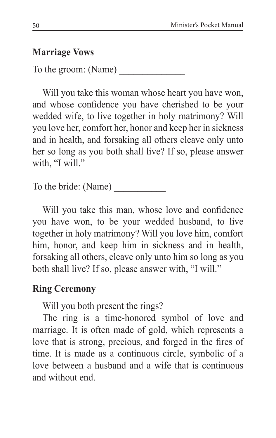#### **Marriage Vows**

To the groom: (Name)

Will you take this woman whose heart you have won, and whose confidence you have cherished to be your wedded wife, to live together in holy matrimony? Will you love her, comfort her, honor and keep her in sickness and in health, and forsaking all others cleave only unto her so long as you both shall live? If so, please answer with, "I will."

To the bride: (Name)

Will you take this man, whose love and confidence you have won, to be your wedded husband, to live together in holy matrimony? Will you love him, comfort him, honor, and keep him in sickness and in health, forsaking all others, cleave only unto him so long as you both shall live? If so, please answer with, "I will."

#### **Ring Ceremony**

Will you both present the rings?

The ring is a time-honored symbol of love and marriage. It is often made of gold, which represents a love that is strong, precious, and forged in the fires of time. It is made as a continuous circle, symbolic of a love between a husband and a wife that is continuous and without end.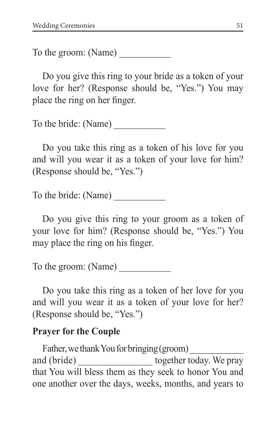To the groom: (Name)

Do you give this ring to your bride as a token of your love for her? (Response should be, "Yes.") You may place the ring on her finger.

To the bride: (Name)

Do you take this ring as a token of his love for you and will you wear it as a token of your love for him? (Response should be, "Yes.")

To the bride: (Name)

Do you give this ring to your groom as a token of your love for him? (Response should be, "Yes.") You may place the ring on his finger.

To the groom: (Name)

Do you take this ring as a token of her love for you and will you wear it as a token of your love for her? (Response should be, "Yes.")

#### **Prayer for the Couple**

Father, we thank You for bringing (groom) and (bride) \_\_\_\_\_\_\_\_\_\_\_\_\_\_\_ together today. We pray that You will bless them as they seek to honor You and one another over the days, weeks, months, and years to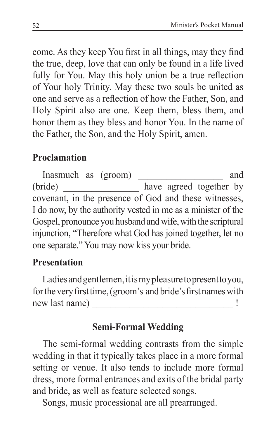come. As they keep You first in all things, may they find the true, deep, love that can only be found in a life lived fully for You. May this holy union be a true reflection of Your holy Trinity. May these two souls be united as one and serve as a reflection of how the Father, Son, and Holy Spirit also are one. Keep them, bless them, and honor them as they bless and honor You. In the name of the Father, the Son, and the Holy Spirit, amen.

## **Proclamation**

Inasmuch as (groom) \_\_\_\_\_\_\_\_\_\_\_\_\_\_\_\_ and (bride) \_\_\_\_\_\_\_\_\_\_\_\_\_\_\_\_\_ have agreed together by covenant, in the presence of God and these witnesses, I do now, by the authority vested in me as a minister of the Gospel, pronounce you husband and wife, with the scriptural injunction, "Therefore what God has joined together, let no one separate." You may now kiss your bride.

## **Presentation**

Ladies and gentlemen, it is my pleasure to present to you, for the very first time, (groom's and bride's first names with new last name)

## **Semi-Formal Wedding**

The semi-formal wedding contrasts from the simple wedding in that it typically takes place in a more formal setting or venue. It also tends to include more formal dress, more formal entrances and exits of the bridal party and bride, as well as feature selected songs.

Songs, music processional are all prearranged.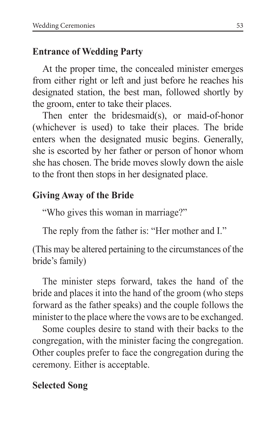## **Entrance of Wedding Party**

At the proper time, the concealed minister emerges from either right or left and just before he reaches his designated station, the best man, followed shortly by the groom, enter to take their places.

Then enter the bridesmaid(s), or maid-of-honor (whichever is used) to take their places. The bride enters when the designated music begins. Generally, she is escorted by her father or person of honor whom she has chosen. The bride moves slowly down the aisle to the front then stops in her designated place.

## **Giving Away of the Bride**

"Who gives this woman in marriage?"

The reply from the father is: "Her mother and I."

(This may be altered pertaining to the circumstances of the bride's family)

The minister steps forward, takes the hand of the bride and places it into the hand of the groom (who steps forward as the father speaks) and the couple follows the minister to the place where the vows are to be exchanged.

Some couples desire to stand with their backs to the congregation, with the minister facing the congregation. Other couples prefer to face the congregation during the ceremony. Either is acceptable.

## **Selected Song**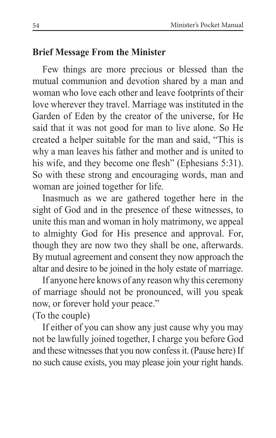## **Brief Message From the Minister**

Few things are more precious or blessed than the mutual communion and devotion shared by a man and woman who love each other and leave footprints of their love wherever they travel. Marriage was instituted in the Garden of Eden by the creator of the universe, for He said that it was not good for man to live alone. So He created a helper suitable for the man and said, "This is why a man leaves his father and mother and is united to his wife, and they become one flesh" (Ephesians 5:31). So with these strong and encouraging words, man and woman are joined together for life.

Inasmuch as we are gathered together here in the sight of God and in the presence of these witnesses, to unite this man and woman in holy matrimony, we appeal to almighty God for His presence and approval. For, though they are now two they shall be one, afterwards. By mutual agreement and consent they now approach the altar and desire to be joined in the holy estate of marriage.

If anyone here knows of any reason why this ceremony of marriage should not be pronounced, will you speak now, or forever hold your peace." (To the couple)

If either of you can show any just cause why you may not be lawfully joined together, I charge you before God and these witnesses that you now confess it. (Pause here) If no such cause exists, you may please join your right hands.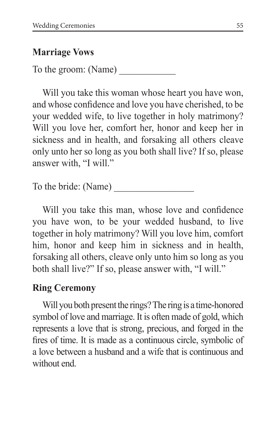#### **Marriage Vows**

To the groom: (Name)

Will you take this woman whose heart you have won, and whose confidence and love you have cherished, to be your wedded wife, to live together in holy matrimony? Will you love her, comfort her, honor and keep her in sickness and in health, and forsaking all others cleave only unto her so long as you both shall live? If so, please answer with, "I will."

To the bride: (Name)

Will you take this man, whose love and confidence you have won, to be your wedded husband, to live together in holy matrimony? Will you love him, comfort him, honor and keep him in sickness and in health, forsaking all others, cleave only unto him so long as you both shall live?" If so, please answer with, "I will."

#### **Ring Ceremony**

Will you both present the rings? The ring is a time-honored symbol of love and marriage. It is often made of gold, which represents a love that is strong, precious, and forged in the fires of time. It is made as a continuous circle, symbolic of a love between a husband and a wife that is continuous and without end.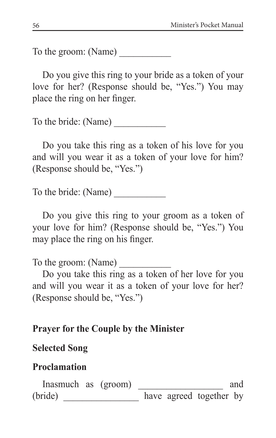To the groom: (Name)

Do you give this ring to your bride as a token of your love for her? (Response should be, "Yes.") You may place the ring on her finger.

To the bride: (Name)

Do you take this ring as a token of his love for you and will you wear it as a token of your love for him? (Response should be, "Yes.")

To the bride: (Name)

Do you give this ring to your groom as a token of your love for him? (Response should be, "Yes.") You may place the ring on his finger.

To the groom: (Name)

Do you take this ring as a token of her love for you and will you wear it as a token of your love for her? (Response should be, "Yes.")

#### **Prayer for the Couple by the Minister**

## **Selected Song**

## **Proclamation**

| Inasmuch as (groom) |  |  |                         | and |
|---------------------|--|--|-------------------------|-----|
| (bride)             |  |  | have agreed together by |     |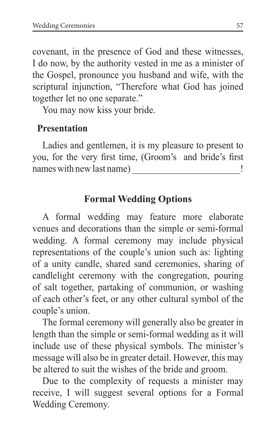covenant, in the presence of God and these witnesses, I do now, by the authority vested in me as a minister of the Gospel, pronounce you husband and wife, with the scriptural injunction, "Therefore what God has joined together let no one separate."

You may now kiss your bride.

## **Presentation**

Ladies and gentlemen, it is my pleasure to present to you, for the very first time, (Groom's and bride's first names with new last name)

## **Formal Wedding Options**

A formal wedding may feature more elaborate venues and decorations than the simple or semi-formal wedding. A formal ceremony may include physical representations of the couple's union such as: lighting of a unity candle, shared sand ceremonies, sharing of candlelight ceremony with the congregation, pouring of salt together, partaking of communion, or washing of each other's feet, or any other cultural symbol of the couple's union.

The formal ceremony will generally also be greater in length than the simple or semi-formal wedding as it will include use of these physical symbols. The minister's message will also be in greater detail. However, this may be altered to suit the wishes of the bride and groom.

Due to the complexity of requests a minister may receive, I will suggest several options for a Formal Wedding Ceremony.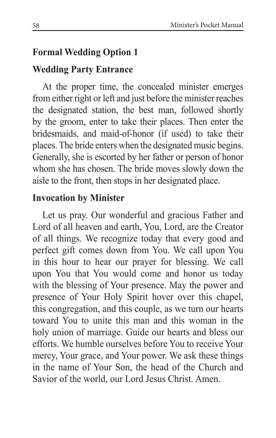#### **Formal Wedding Option 1**

#### **Wedding Party Entrance**

At the proper time, the concealed minister emerges from either right or left and just before the minister reaches the designated station, the best man, followed shortly by the groom, enter to take their places. Then enter the bridesmaids, and maid-of-honor (if used) to take their places. The bride enters when the designated music begins. Generally, she is escorted by her father or person of honor whom she has chosen. The bride moves slowly down the aisle to the front, then stops in her designated place.

#### **Invocation by Minister**

Let us pray. Our wonderful and gracious Father and Lord of all heaven and earth, You, Lord, are the Creator of all things. We recognize today that every good and perfect gift comes down from You. We call upon You in this hour to hear our prayer for blessing. We call upon You that You would come and honor us today with the blessing of Your presence. May the power and presence of Your Holy Spirit hover over this chapel, this congregation, and this couple, as we turn our hearts toward You to unite this man and this woman in the holy union of marriage. Guide our hearts and bless our efforts. We humble ourselves before You to receive Your mercy, Your grace, and Your power. We ask these things in the name of Your Son, the head of the Church and Savior of the world, our Lord Jesus Christ. Amen.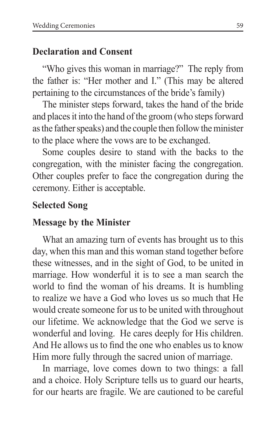## **Declaration and Consent**

"Who gives this woman in marriage?" The reply from the father is: "Her mother and I." (This may be altered pertaining to the circumstances of the bride's family)

The minister steps forward, takes the hand of the bride and places it into the hand of the groom (who steps forward as the father speaks) and the couple then follow the minister to the place where the vows are to be exchanged.

Some couples desire to stand with the backs to the congregation, with the minister facing the congregation. Other couples prefer to face the congregation during the ceremony. Either is acceptable.

#### **Selected Song**

#### **Message by the Minister**

What an amazing turn of events has brought us to this day, when this man and this woman stand together before these witnesses, and in the sight of God, to be united in marriage. How wonderful it is to see a man search the world to find the woman of his dreams. It is humbling to realize we have a God who loves us so much that He would create someone for us to be united with throughout our lifetime. We acknowledge that the God we serve is wonderful and loving. He cares deeply for His children. And He allows us to find the one who enables us to know Him more fully through the sacred union of marriage.

In marriage, love comes down to two things: a fall and a choice. Holy Scripture tells us to guard our hearts, for our hearts are fragile. We are cautioned to be careful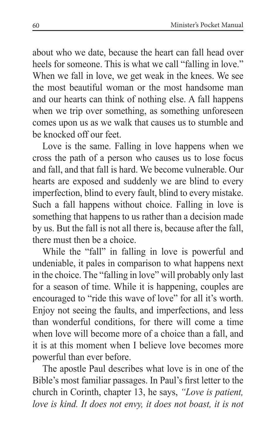about who we date, because the heart can fall head over heels for someone. This is what we call "falling in love." When we fall in love, we get weak in the knees. We see the most beautiful woman or the most handsome man and our hearts can think of nothing else. A fall happens when we trip over something, as something unforeseen comes upon us as we walk that causes us to stumble and be knocked off our feet.

Love is the same. Falling in love happens when we cross the path of a person who causes us to lose focus and fall, and that fall is hard. We become vulnerable. Our hearts are exposed and suddenly we are blind to every imperfection, blind to every fault, blind to every mistake. Such a fall happens without choice. Falling in love is something that happens to us rather than a decision made by us. But the fall is not all there is, because after the fall, there must then be a choice.

While the "fall" in falling in love is powerful and undeniable, it pales in comparison to what happens next in the choice. The "falling in love" will probably only last for a season of time. While it is happening, couples are encouraged to "ride this wave of love" for all it's worth. Enjoy not seeing the faults, and imperfections, and less than wonderful conditions, for there will come a time when love will become more of a choice than a fall, and it is at this moment when I believe love becomes more powerful than ever before.

The apostle Paul describes what love is in one of the Bible's most familiar passages. In Paul's first letter to the church in Corinth, chapter 13, he says, *"Love is patient, love is kind. It does not envy, it does not boast, it is not*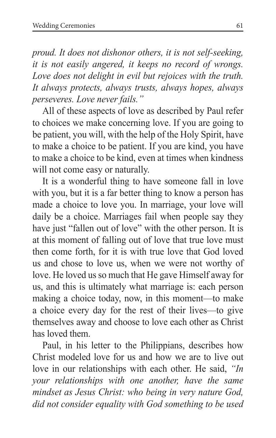*proud. It does not dishonor others, it is not self-seeking, it is not easily angered, it keeps no record of wrongs. Love does not delight in evil but rejoices with the truth. It always protects, always trusts, always hopes, always perseveres. Love never fails."*

All of these aspects of love as described by Paul refer to choices we make concerning love. If you are going to be patient, you will, with the help of the Holy Spirit, have to make a choice to be patient. If you are kind, you have to make a choice to be kind, even at times when kindness will not come easy or naturally.

It is a wonderful thing to have someone fall in love with you, but it is a far better thing to know a person has made a choice to love you. In marriage, your love will daily be a choice. Marriages fail when people say they have just "fallen out of love" with the other person. It is at this moment of falling out of love that true love must then come forth, for it is with true love that God loved us and chose to love us, when we were not worthy of love. He loved us so much that He gave Himself away for us, and this is ultimately what marriage is: each person making a choice today, now, in this moment—to make a choice every day for the rest of their lives—to give themselves away and choose to love each other as Christ has loved them.

Paul, in his letter to the Philippians, describes how Christ modeled love for us and how we are to live out love in our relationships with each other. He said, *"In your relationships with one another, have the same mindset as Jesus Christ: who being in very nature God, did not consider equality with God something to be used*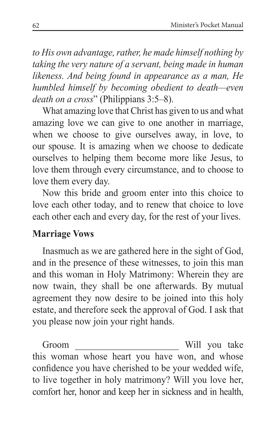*to His own advantage, rather, he made himself nothing by taking the very nature of a servant, being made in human likeness. And being found in appearance as a man, He humbled himself by becoming obedient to death—even death on a cross*" (Philippians 3:5–8).

What amazing love that Christ has given to us and what amazing love we can give to one another in marriage, when we choose to give ourselves away, in love, to our spouse. It is amazing when we choose to dedicate ourselves to helping them become more like Jesus, to love them through every circumstance, and to choose to love them every day.

Now this bride and groom enter into this choice to love each other today, and to renew that choice to love each other each and every day, for the rest of your lives.

## **Marriage Vows**

Inasmuch as we are gathered here in the sight of God, and in the presence of these witnesses, to join this man and this woman in Holy Matrimony: Wherein they are now twain, they shall be one afterwards. By mutual agreement they now desire to be joined into this holy estate, and therefore seek the approval of God. I ask that you please now join your right hands.

Groom Will you take this woman whose heart you have won, and whose confidence you have cherished to be your wedded wife, to live together in holy matrimony? Will you love her, comfort her, honor and keep her in sickness and in health,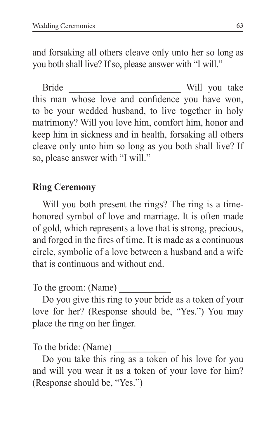and forsaking all others cleave only unto her so long as you both shall live? If so, please answer with "I will."

Bride Will you take this man whose love and confidence you have won, to be your wedded husband, to live together in holy matrimony? Will you love him, comfort him, honor and keep him in sickness and in health, forsaking all others cleave only unto him so long as you both shall live? If so, please answer with "I will."

### **Ring Ceremony**

Will you both present the rings? The ring is a timehonored symbol of love and marriage. It is often made of gold, which represents a love that is strong, precious, and forged in the fires of time. It is made as a continuous circle, symbolic of a love between a husband and a wife that is continuous and without end.

#### To the groom: (Name)

Do you give this ring to your bride as a token of your love for her? (Response should be, "Yes.") You may place the ring on her finger.

## To the bride: (Name)

Do you take this ring as a token of his love for you and will you wear it as a token of your love for him? (Response should be, "Yes.")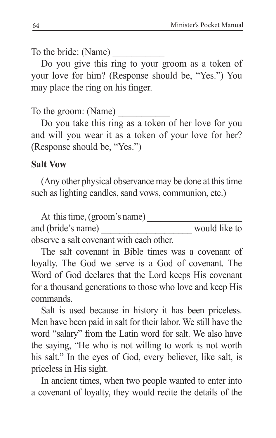To the bride: (Name)

Do you give this ring to your groom as a token of your love for him? (Response should be, "Yes.") You may place the ring on his finger.

To the groom: (Name)

Do you take this ring as a token of her love for you and will you wear it as a token of your love for her? (Response should be, "Yes.")

#### **Salt Vow**

(Any other physical observance may be done at this time such as lighting candles, sand vows, communion, etc.)

At this time,  $(groom's name)$ and (bride's name) would like to observe a salt covenant with each other.

The salt covenant in Bible times was a covenant of loyalty. The God we serve is a God of covenant. The Word of God declares that the Lord keeps His covenant for a thousand generations to those who love and keep His commands.

Salt is used because in history it has been priceless. Men have been paid in salt for their labor. We still have the word "salary" from the Latin word for salt. We also have the saying, "He who is not willing to work is not worth his salt." In the eyes of God, every believer, like salt, is priceless in His sight.

In ancient times, when two people wanted to enter into a covenant of loyalty, they would recite the details of the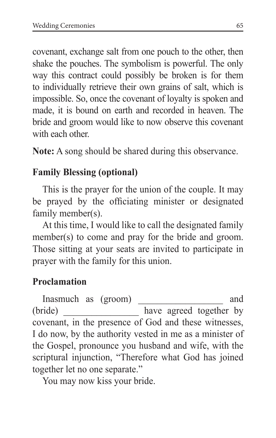covenant, exchange salt from one pouch to the other, then shake the pouches. The symbolism is powerful. The only way this contract could possibly be broken is for them to individually retrieve their own grains of salt, which is impossible. So, once the covenant of loyalty is spoken and made, it is bound on earth and recorded in heaven. The bride and groom would like to now observe this covenant with each other.

**Note:** A song should be shared during this observance.

## **Family Blessing (optional)**

This is the prayer for the union of the couple. It may be prayed by the officiating minister or designated family member(s).

At this time, I would like to call the designated family member(s) to come and pray for the bride and groom. Those sitting at your seats are invited to participate in prayer with the family for this union.

## **Proclamation**

Inasmuch as (groom) and (bride) have agreed together by covenant, in the presence of God and these witnesses, I do now, by the authority vested in me as a minister of the Gospel, pronounce you husband and wife, with the scriptural injunction, "Therefore what God has joined together let no one separate."

You may now kiss your bride.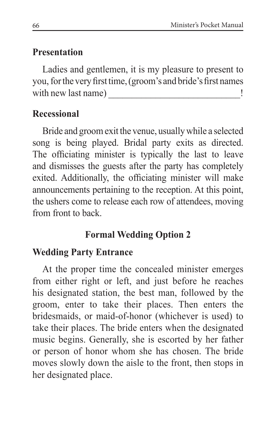## **Presentation**

Ladies and gentlemen, it is my pleasure to present to you, for the very first time, (groom's and bride's first names with new last name)

## **Recessional**

Bride and groom exit the venue, usually while a selected song is being played. Bridal party exits as directed. The officiating minister is typically the last to leave and dismisses the guests after the party has completely exited. Additionally, the officiating minister will make announcements pertaining to the reception. At this point, the ushers come to release each row of attendees, moving from front to back.

## **Formal Wedding Option 2**

## **Wedding Party Entrance**

At the proper time the concealed minister emerges from either right or left, and just before he reaches his designated station, the best man, followed by the groom, enter to take their places. Then enters the bridesmaids, or maid-of-honor (whichever is used) to take their places. The bride enters when the designated music begins. Generally, she is escorted by her father or person of honor whom she has chosen. The bride moves slowly down the aisle to the front, then stops in her designated place.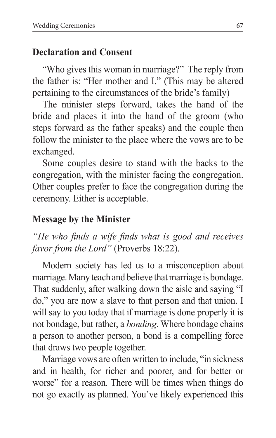## **Declaration and Consent**

"Who gives this woman in marriage?" The reply from the father is: "Her mother and I." (This may be altered pertaining to the circumstances of the bride's family)

The minister steps forward, takes the hand of the bride and places it into the hand of the groom (who steps forward as the father speaks) and the couple then follow the minister to the place where the vows are to be exchanged.

Some couples desire to stand with the backs to the congregation, with the minister facing the congregation. Other couples prefer to face the congregation during the ceremony. Either is acceptable.

## **Message by the Minister**

*"He who finds a wife finds what is good and receives favor from the Lord"* (Proverbs 18:22).

Modern society has led us to a misconception about marriage. Many teach and believe that marriage is bondage. That suddenly, after walking down the aisle and saying "I do," you are now a slave to that person and that union. I will say to you today that if marriage is done properly it is not bondage, but rather, a *bonding*. Where bondage chains a person to another person, a bond is a compelling force that draws two people together.

Marriage vows are often written to include, "in sickness and in health, for richer and poorer, and for better or worse" for a reason. There will be times when things do not go exactly as planned. You've likely experienced this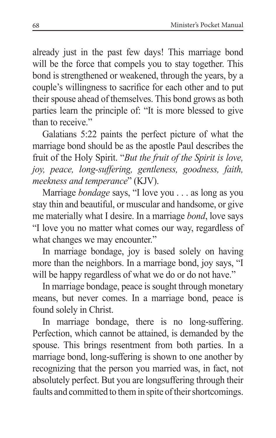already just in the past few days! This marriage bond will be the force that compels you to stay together. This bond is strengthened or weakened, through the years, by a couple's willingness to sacrifice for each other and to put their spouse ahead of themselves. This bond grows as both parties learn the principle of: "It is more blessed to give than to receive."

Galatians 5:22 paints the perfect picture of what the marriage bond should be as the apostle Paul describes the fruit of the Holy Spirit. "*But the fruit of the Spirit is love, joy, peace, long-suffering, gentleness, goodness, faith, meekness and temperance*" (KJV).

Marriage *bondage* says, "I love you . . . as long as you stay thin and beautiful, or muscular and handsome, or give me materially what I desire. In a marriage *bond*, love says "I love you no matter what comes our way, regardless of what changes we may encounter."

In marriage bondage, joy is based solely on having more than the neighbors. In a marriage bond, joy says, "I will be happy regardless of what we do or do not have."

In marriage bondage, peace is sought through monetary means, but never comes. In a marriage bond, peace is found solely in Christ.

In marriage bondage, there is no long-suffering. Perfection, which cannot be attained, is demanded by the spouse. This brings resentment from both parties. In a marriage bond, long-suffering is shown to one another by recognizing that the person you married was, in fact, not absolutely perfect. But you are longsuffering through their faults and committed to them in spite of their shortcomings.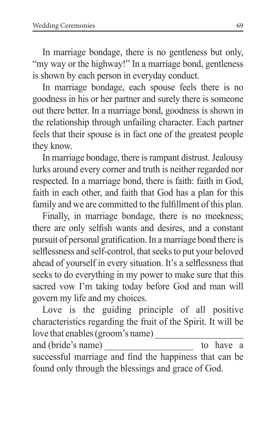In marriage bondage, there is no gentleness but only, "my way or the highway!" In a marriage bond, gentleness is shown by each person in everyday conduct.

In marriage bondage, each spouse feels there is no goodness in his or her partner and surely there is someone out there better. In a marriage bond, goodness is shown in the relationship through unfailing character. Each partner feels that their spouse is in fact one of the greatest people they know.

In marriage bondage, there is rampant distrust. Jealousy lurks around every corner and truth is neither regarded nor respected. In a marriage bond, there is faith: faith in God, faith in each other, and faith that God has a plan for this family and we are committed to the fulfillment of this plan.

Finally, in marriage bondage, there is no meekness; there are only selfish wants and desires, and a constant pursuit of personal gratification. In a marriage bond there is selflessness and self-control, that seeks to put your beloved ahead of yourself in every situation. It's a selflessness that seeks to do everything in my power to make sure that this sacred vow I'm taking today before God and man will govern my life and my choices.

Love is the guiding principle of all positive characteristics regarding the fruit of the Spirit. It will be love that enables (groom's name) and (bride's name) b  $\frac{1}{2}$  to have a successful marriage and find the happiness that can be found only through the blessings and grace of God.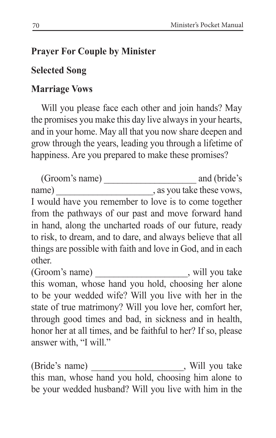## **Prayer For Couple by Minister**

## **Selected Song**

## **Marriage Vows**

Will you please face each other and join hands? May the promises you make this day live always in your hearts, and in your home. May all that you now share deepen and grow through the years, leading you through a lifetime of happiness. Are you prepared to make these promises?

(Groom's name) \_\_\_\_\_\_\_\_\_\_\_\_\_\_\_\_\_\_\_\_ and (bride's name) as you take these vows, I would have you remember to love is to come together from the pathways of our past and move forward hand in hand, along the uncharted roads of our future, ready to risk, to dream, and to dare, and always believe that all things are possible with faith and love in God, and in each other.

(Groom's name) \_\_\_\_\_\_\_\_\_\_\_\_\_\_\_\_\_\_\_\_, will you take this woman, whose hand you hold, choosing her alone to be your wedded wife? Will you live with her in the state of true matrimony? Will you love her, comfort her, through good times and bad, in sickness and in health, honor her at all times, and be faithful to her? If so, please answer with, "I will."

(Bride's name) \_\_\_\_\_\_\_\_\_\_\_\_\_\_\_\_\_\_\_\_, Will you take this man, whose hand you hold, choosing him alone to be your wedded husband? Will you live with him in the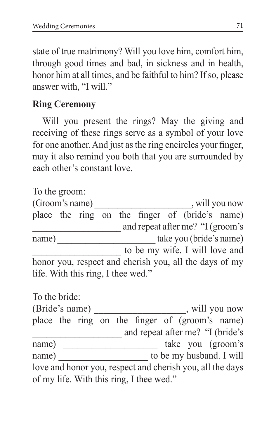state of true matrimony? Will you love him, comfort him, through good times and bad, in sickness and in health, honor him at all times, and be faithful to him? If so, please answer with, "I will."

## **Ring Ceremony**

Will you present the rings? May the giving and receiving of these rings serve as a symbol of your love for one another. And just as the ring encircles your finger, may it also remind you both that you are surrounded by each other's constant love.

To the groom: (Groom's name) \_\_\_\_\_\_\_\_\_\_\_\_\_\_\_\_\_\_\_\_\_, will you now place the ring on the finger of (bride's name) \_\_\_\_\_\_\_\_\_\_\_\_\_\_\_\_\_\_\_ and repeat after me? "I (groom's name) take you (bride's name) \_\_\_\_\_\_\_\_\_\_\_\_\_\_\_\_\_\_\_ to be my wife. I will love and honor you, respect and cherish you, all the days of my life. With this ring, I thee wed."

To the bride: (Bride's name) \_\_\_\_\_\_\_\_\_\_\_\_\_\_\_\_\_\_\_\_\_\_\_, will you now place the ring on the finger of (groom's name) and repeat after me? "I (bride's name) \_\_\_\_\_\_\_\_\_\_\_\_\_\_\_\_\_\_\_ take you (groom's name) to be my husband. I will love and honor you, respect and cherish you, all the days of my life. With this ring, I thee wed."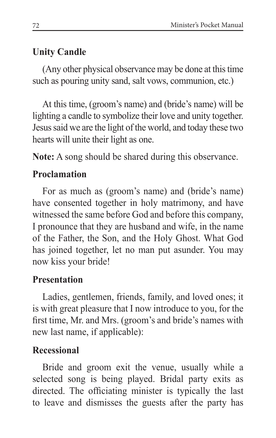## **Unity Candle**

(Any other physical observance may be done at this time such as pouring unity sand, salt vows, communion, etc.)

At this time, (groom's name) and (bride's name) will be lighting a candle to symbolize their love and unity together. Jesus said we are the light of the world, and today these two hearts will unite their light as one.

**Note:** A song should be shared during this observance.

## **Proclamation**

For as much as (groom's name) and (bride's name) have consented together in holy matrimony, and have witnessed the same before God and before this company, I pronounce that they are husband and wife, in the name of the Father, the Son, and the Holy Ghost. What God has joined together, let no man put asunder. You may now kiss your bride!

## **Presentation**

Ladies, gentlemen, friends, family, and loved ones; it is with great pleasure that I now introduce to you, for the first time, Mr. and Mrs. (groom's and bride's names with new last name, if applicable):

## **Recessional**

Bride and groom exit the venue, usually while a selected song is being played. Bridal party exits as directed. The officiating minister is typically the last to leave and dismisses the guests after the party has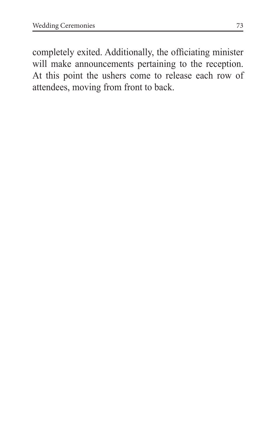completely exited. Additionally, the officiating minister will make announcements pertaining to the reception. At this point the ushers come to release each row of attendees, moving from front to back.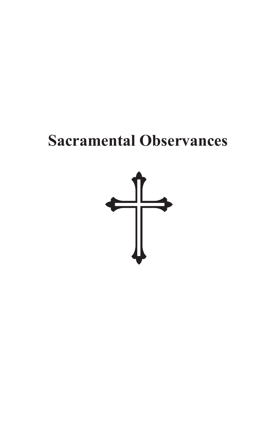# **Sacramental Observances**

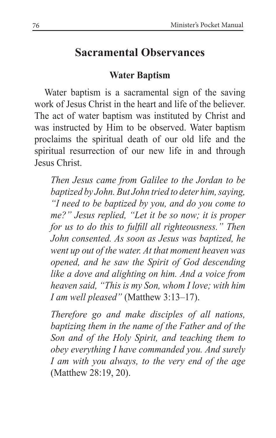## **Sacramental Observances**

#### **Water Baptism**

Water baptism is a sacramental sign of the saving work of Jesus Christ in the heart and life of the believer. The act of water baptism was instituted by Christ and was instructed by Him to be observed. Water baptism proclaims the spiritual death of our old life and the spiritual resurrection of our new life in and through Jesus Christ.

*Then Jesus came from Galilee to the Jordan to be baptized by John. But John tried to deter him, saying, "I need to be baptized by you, and do you come to me?" Jesus replied, "Let it be so now; it is proper for us to do this to fulfill all righteousness." Then John consented. As soon as Jesus was baptized, he went up out of the water. At that moment heaven was opened, and he saw the Spirit of God descending like a dove and alighting on him. And a voice from heaven said, "This is my Son, whom I love; with him I am well pleased"* (Matthew 3:13–17).

*Therefore go and make disciples of all nations, baptizing them in the name of the Father and of the Son and of the Holy Spirit, and teaching them to obey everything I have commanded you. And surely I am with you always, to the very end of the age*  (Matthew 28:19, 20).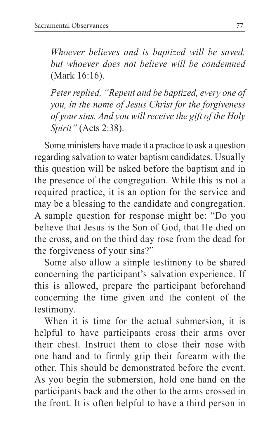*Whoever believes and is baptized will be saved, but whoever does not believe will be condemned*  (Mark 16:16).

*Peter replied, "Repent and be baptized, every one of you, in the name of Jesus Christ for the forgiveness of your sins. And you will receive the gift of the Holy Spirit"* (Acts 2:38).

Some ministers have made it a practice to ask a question regarding salvation to water baptism candidates. Usually this question will be asked before the baptism and in the presence of the congregation. While this is not a required practice, it is an option for the service and may be a blessing to the candidate and congregation. A sample question for response might be: "Do you believe that Jesus is the Son of God, that He died on the cross, and on the third day rose from the dead for the forgiveness of your sins?"

Some also allow a simple testimony to be shared concerning the participant's salvation experience. If this is allowed, prepare the participant beforehand concerning the time given and the content of the testimony.

When it is time for the actual submersion, it is helpful to have participants cross their arms over their chest. Instruct them to close their nose with one hand and to firmly grip their forearm with the other. This should be demonstrated before the event. As you begin the submersion, hold one hand on the participants back and the other to the arms crossed in the front. It is often helpful to have a third person in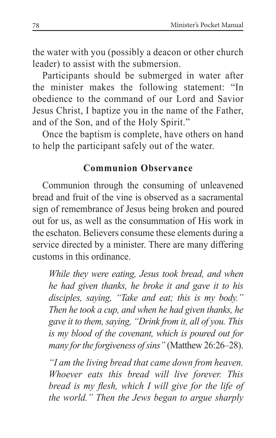the water with you (possibly a deacon or other church leader) to assist with the submersion.

Participants should be submerged in water after the minister makes the following statement: "In obedience to the command of our Lord and Savior Jesus Christ, I baptize you in the name of the Father, and of the Son, and of the Holy Spirit."

Once the baptism is complete, have others on hand to help the participant safely out of the water.

#### **Communion Observance**

Communion through the consuming of unleavened bread and fruit of the vine is observed as a sacramental sign of remembrance of Jesus being broken and poured out for us, as well as the consummation of His work in the eschaton. Believers consume these elements during a service directed by a minister. There are many differing customs in this ordinance.

*While they were eating, Jesus took bread, and when he had given thanks, he broke it and gave it to his disciples, saying, "Take and eat; this is my body." Then he took a cup, and when he had given thanks, he gave it to them, saying, "Drink from it, all of you. This is my blood of the covenant, which is poured out for many for the forgiveness of sins"* (Matthew 26:26–28).

*"I am the living bread that came down from heaven. Whoever eats this bread will live forever. This bread is my flesh, which I will give for the life of the world." Then the Jews began to argue sharply*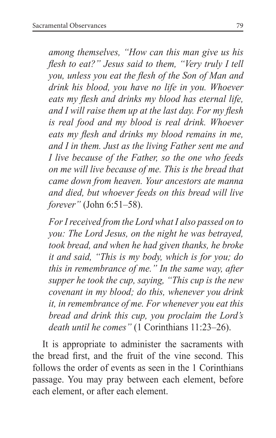*among themselves, "How can this man give us his flesh to eat?" Jesus said to them, "Very truly I tell you, unless you eat the flesh of the Son of Man and drink his blood, you have no life in you. Whoever eats my flesh and drinks my blood has eternal life, and I will raise them up at the last day. For my flesh is real food and my blood is real drink. Whoever eats my flesh and drinks my blood remains in me, and I in them. Just as the living Father sent me and I live because of the Father, so the one who feeds on me will live because of me. This is the bread that came down from heaven. Your ancestors ate manna and died, but whoever feeds on this bread will live forever"* (John 6:51–58).

*For I received from the Lord what I also passed on to you: The Lord Jesus, on the night he was betrayed, took bread, and when he had given thanks, he broke it and said, "This is my body, which is for you; do this in remembrance of me." In the same way, after supper he took the cup, saying, "This cup is the new covenant in my blood; do this, whenever you drink it, in remembrance of me. For whenever you eat this bread and drink this cup, you proclaim the Lord's death until he comes"* (1 Corinthians 11:23–26).

It is appropriate to administer the sacraments with the bread first, and the fruit of the vine second. This follows the order of events as seen in the 1 Corinthians passage. You may pray between each element, before each element, or after each element.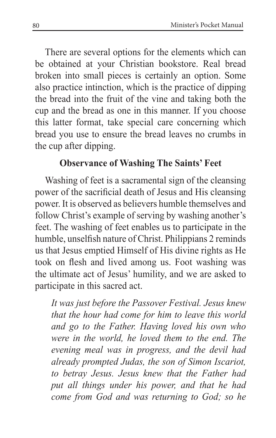There are several options for the elements which can be obtained at your Christian bookstore. Real bread broken into small pieces is certainly an option. Some also practice intinction, which is the practice of dipping the bread into the fruit of the vine and taking both the cup and the bread as one in this manner. If you choose this latter format, take special care concerning which bread you use to ensure the bread leaves no crumbs in the cup after dipping.

#### **Observance of Washing The Saints' Feet**

Washing of feet is a sacramental sign of the cleansing power of the sacrificial death of Jesus and His cleansing power. It is observed as believers humble themselves and follow Christ's example of serving by washing another's feet. The washing of feet enables us to participate in the humble, unselfish nature of Christ. Philippians 2 reminds us that Jesus emptied Himself of His divine rights as He took on flesh and lived among us. Foot washing was the ultimate act of Jesus' humility, and we are asked to participate in this sacred act.

*It was just before the Passover Festival. Jesus knew that the hour had come for him to leave this world and go to the Father. Having loved his own who were in the world, he loved them to the end. The evening meal was in progress, and the devil had already prompted Judas, the son of Simon Iscariot, to betray Jesus. Jesus knew that the Father had put all things under his power, and that he had come from God and was returning to God; so he*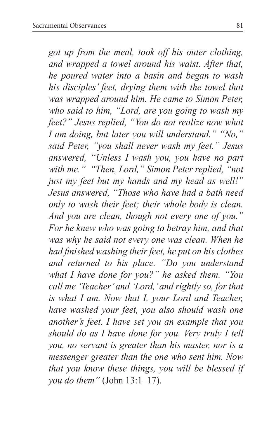*got up from the meal, took off his outer clothing, and wrapped a towel around his waist. After that, he poured water into a basin and began to wash his disciples' feet, drying them with the towel that was wrapped around him. He came to Simon Peter, who said to him, "Lord, are you going to wash my feet?" Jesus replied, "You do not realize now what I am doing, but later you will understand." "No," said Peter, "you shall never wash my feet." Jesus answered, "Unless I wash you, you have no part with me." "Then, Lord," Simon Peter replied, "not just my feet but my hands and my head as well!" Jesus answered, "Those who have had a bath need only to wash their feet; their whole body is clean. And you are clean, though not every one of you." For he knew who was going to betray him, and that was why he said not every one was clean. When he had finished washing their feet, he put on his clothes and returned to his place. "Do you understand what I have done for you?" he asked them. "You call me 'Teacher' and 'Lord,' and rightly so, for that is what I am. Now that I, your Lord and Teacher, have washed your feet, you also should wash one another's feet. I have set you an example that you should do as I have done for you. Very truly I tell you, no servant is greater than his master, nor is a messenger greater than the one who sent him. Now that you know these things, you will be blessed if you do them"* (John 13:1–17).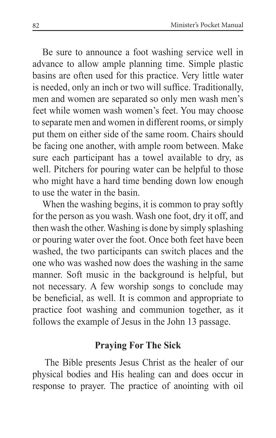Be sure to announce a foot washing service well in advance to allow ample planning time. Simple plastic basins are often used for this practice. Very little water is needed, only an inch or two will suffice. Traditionally, men and women are separated so only men wash men's feet while women wash women's feet. You may choose to separate men and women in different rooms, or simply put them on either side of the same room. Chairs should be facing one another, with ample room between. Make sure each participant has a towel available to dry, as well. Pitchers for pouring water can be helpful to those who might have a hard time bending down low enough to use the water in the basin.

When the washing begins, it is common to pray softly for the person as you wash. Wash one foot, dry it off, and then wash the other. Washing is done by simply splashing or pouring water over the foot. Once both feet have been washed, the two participants can switch places and the one who was washed now does the washing in the same manner. Soft music in the background is helpful, but not necessary. A few worship songs to conclude may be beneficial, as well. It is common and appropriate to practice foot washing and communion together, as it follows the example of Jesus in the John 13 passage.

#### **Praying For The Sick**

The Bible presents Jesus Christ as the healer of our physical bodies and His healing can and does occur in response to prayer. The practice of anointing with oil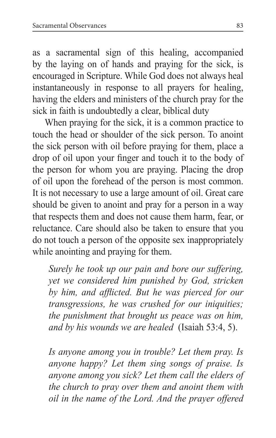as a sacramental sign of this healing, accompanied by the laying on of hands and praying for the sick, is encouraged in Scripture. While God does not always heal instantaneously in response to all prayers for healing, having the elders and ministers of the church pray for the sick in faith is undoubtedly a clear, biblical duty

When praying for the sick, it is a common practice to touch the head or shoulder of the sick person. To anoint the sick person with oil before praying for them, place a drop of oil upon your finger and touch it to the body of the person for whom you are praying. Placing the drop of oil upon the forehead of the person is most common. It is not necessary to use a large amount of oil. Great care should be given to anoint and pray for a person in a way that respects them and does not cause them harm, fear, or reluctance. Care should also be taken to ensure that you do not touch a person of the opposite sex inappropriately while anointing and praying for them.

*Surely he took up our pain and bore our suffering, yet we considered him punished by God, stricken by him, and afflicted. But he was pierced for our transgressions, he was crushed for our iniquities; the punishment that brought us peace was on him, and by his wounds we are healed* (Isaiah 53:4, 5).

*Is anyone among you in trouble? Let them pray. Is anyone happy? Let them sing songs of praise. Is anyone among you sick? Let them call the elders of the church to pray over them and anoint them with oil in the name of the Lord. And the prayer offered*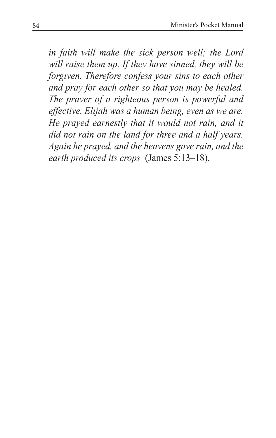*in faith will make the sick person well; the Lord will raise them up. If they have sinned, they will be forgiven. Therefore confess your sins to each other and pray for each other so that you may be healed. The prayer of a righteous person is powerful and effective. Elijah was a human being, even as we are. He prayed earnestly that it would not rain, and it did not rain on the land for three and a half years. Again he prayed, and the heavens gave rain, and the earth produced its crops* (James 5:13–18).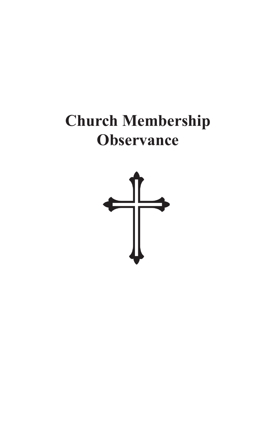# **Church Membership Observance**

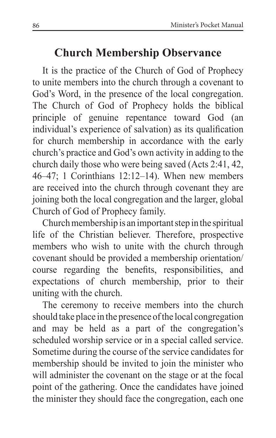## **Church Membership Observance**

It is the practice of the Church of God of Prophecy to unite members into the church through a covenant to God's Word, in the presence of the local congregation. The Church of God of Prophecy holds the biblical principle of genuine repentance toward God (an individual's experience of salvation) as its qualification for church membership in accordance with the early church's practice and God's own activity in adding to the church daily those who were being saved (Acts 2:41, 42, 46–47; 1 Corinthians 12:12–14). When new members are received into the church through covenant they are joining both the local congregation and the larger, global Church of God of Prophecy family.

Church membership is an important step in the spiritual life of the Christian believer. Therefore, prospective members who wish to unite with the church through covenant should be provided a membership orientation/ course regarding the benefits, responsibilities, and expectations of church membership, prior to their uniting with the church.

The ceremony to receive members into the church should take place in the presence of the local congregation and may be held as a part of the congregation's scheduled worship service or in a special called service. Sometime during the course of the service candidates for membership should be invited to join the minister who will administer the covenant on the stage or at the focal point of the gathering. Once the candidates have joined the minister they should face the congregation, each one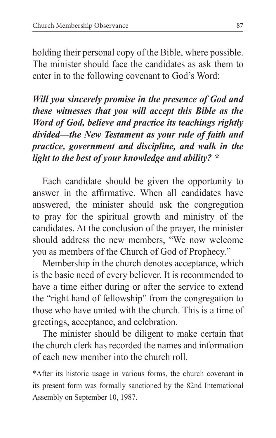holding their personal copy of the Bible, where possible. The minister should face the candidates as ask them to enter in to the following covenant to God's Word:

*Will you sincerely promise in the presence of God and these witnesses that you will accept this Bible as the Word of God, believe and practice its teachings rightly divided—the New Testament as your rule of faith and practice, government and discipline, and walk in the light to the best of your knowledge and ability? \**

Each candidate should be given the opportunity to answer in the affirmative. When all candidates have answered, the minister should ask the congregation to pray for the spiritual growth and ministry of the candidates. At the conclusion of the prayer, the minister should address the new members, "We now welcome you as members of the Church of God of Prophecy."

Membership in the church denotes acceptance, which is the basic need of every believer. It is recommended to have a time either during or after the service to extend the "right hand of fellowship" from the congregation to those who have united with the church. This is a time of greetings, acceptance, and celebration.

The minister should be diligent to make certain that the church clerk has recorded the names and information of each new member into the church roll.

\*After its historic usage in various forms, the church covenant in its present form was formally sanctioned by the 82nd International Assembly on September 10, 1987.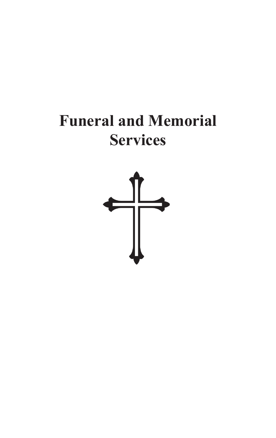# **Funeral and Memorial Services**

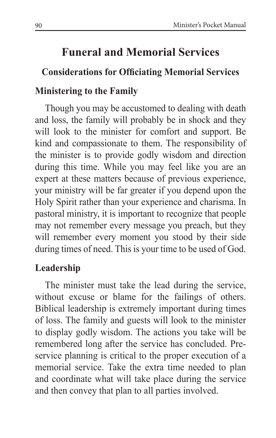## **Funeral and Memorial Services**

#### **Considerations for Officiating Memorial Services**

#### **Ministering to the Family**

Though you may be accustomed to dealing with death and loss, the family will probably be in shock and they will look to the minister for comfort and support. Be kind and compassionate to them. The responsibility of the minister is to provide godly wisdom and direction during this time. While you may feel like you are an expert at these matters because of previous experience, your ministry will be far greater if you depend upon the Holy Spirit rather than your experience and charisma. In pastoral ministry, it is important to recognize that people may not remember every message you preach, but they will remember every moment you stood by their side during times of need. This is your time to be used of God.

#### **Leadership**

The minister must take the lead during the service, without excuse or blame for the failings of others. Biblical leadership is extremely important during times of loss. The family and guests will look to the minister to display godly wisdom. The actions you take will be remembered long after the service has concluded. Preservice planning is critical to the proper execution of a memorial service. Take the extra time needed to plan and coordinate what will take place during the service and then convey that plan to all parties involved.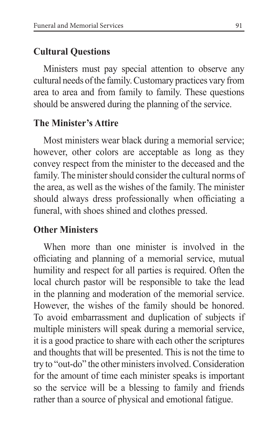#### **Cultural Questions**

Ministers must pay special attention to observe any cultural needs of the family. Customary practices vary from area to area and from family to family. These questions should be answered during the planning of the service.

#### **The Minister's Attire**

Most ministers wear black during a memorial service; however, other colors are acceptable as long as they convey respect from the minister to the deceased and the family. The minister should consider the cultural norms of the area, as well as the wishes of the family. The minister should always dress professionally when officiating a funeral, with shoes shined and clothes pressed.

#### **Other Ministers**

When more than one minister is involved in the officiating and planning of a memorial service, mutual humility and respect for all parties is required. Often the local church pastor will be responsible to take the lead in the planning and moderation of the memorial service. However, the wishes of the family should be honored. To avoid embarrassment and duplication of subjects if multiple ministers will speak during a memorial service, it is a good practice to share with each other the scriptures and thoughts that will be presented. This is not the time to try to "out-do" the other ministers involved. Consideration for the amount of time each minister speaks is important so the service will be a blessing to family and friends rather than a source of physical and emotional fatigue.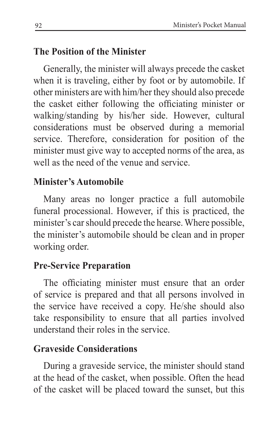#### **The Position of the Minister**

Generally, the minister will always precede the casket when it is traveling, either by foot or by automobile. If other ministers are with him/her they should also precede the casket either following the officiating minister or walking/standing by his/her side. However, cultural considerations must be observed during a memorial service. Therefore, consideration for position of the minister must give way to accepted norms of the area, as well as the need of the venue and service.

## **Minister's Automobile**

Many areas no longer practice a full automobile funeral processional. However, if this is practiced, the minister's car should precede the hearse. Where possible, the minister's automobile should be clean and in proper working order.

### **Pre-Service Preparation**

The officiating minister must ensure that an order of service is prepared and that all persons involved in the service have received a copy. He/she should also take responsibility to ensure that all parties involved understand their roles in the service.

## **Graveside Considerations**

During a graveside service, the minister should stand at the head of the casket, when possible. Often the head of the casket will be placed toward the sunset, but this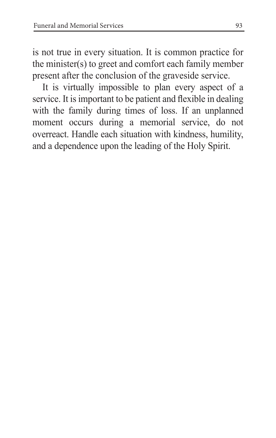is not true in every situation. It is common practice for the minister(s) to greet and comfort each family member present after the conclusion of the graveside service.

It is virtually impossible to plan every aspect of a service. It is important to be patient and flexible in dealing with the family during times of loss. If an unplanned moment occurs during a memorial service, do not overreact. Handle each situation with kindness, humility, and a dependence upon the leading of the Holy Spirit.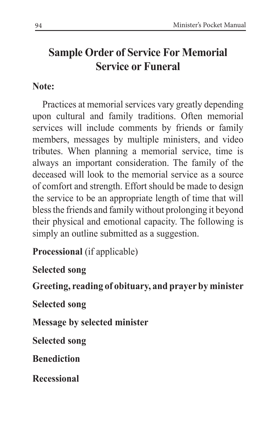# **Sample Order of Service For Memorial Service or Funeral**

#### **Note:**

Practices at memorial services vary greatly depending upon cultural and family traditions. Often memorial services will include comments by friends or family members, messages by multiple ministers, and video tributes. When planning a memorial service, time is always an important consideration. The family of the deceased will look to the memorial service as a source of comfort and strength. Effort should be made to design the service to be an appropriate length of time that will bless the friends and family without prolonging it beyond their physical and emotional capacity. The following is simply an outline submitted as a suggestion.

**Processional** (if applicable)

**Selected song**

**Greeting, reading of obituary, and prayer by minister**

**Selected song** 

**Message by selected minister**

**Selected song** 

**Benediction**

**Recessional**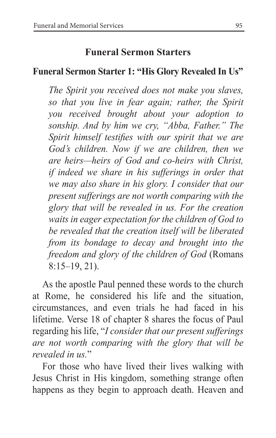## **Funeral Sermon Starters**

#### **Funeral Sermon Starter 1: "His Glory Revealed In Us"**

*The Spirit you received does not make you slaves, so that you live in fear again; rather, the Spirit you received brought about your adoption to sonship. And by him we cry, "Abba, Father." The Spirit himself testifies with our spirit that we are God's children. Now if we are children, then we are heirs—heirs of God and co-heirs with Christ, if indeed we share in his sufferings in order that we may also share in his glory. I consider that our present sufferings are not worth comparing with the glory that will be revealed in us. For the creation waits in eager expectation for the children of God to be revealed that the creation itself will be liberated from its bondage to decay and brought into the freedom and glory of the children of God* (Romans 8:15–19, 21).

As the apostle Paul penned these words to the church at Rome, he considered his life and the situation, circumstances, and even trials he had faced in his lifetime. Verse 18 of chapter 8 shares the focus of Paul regarding his life, "*I consider that our present sufferings are not worth comparing with the glory that will be revealed in us.*"

For those who have lived their lives walking with Jesus Christ in His kingdom, something strange often happens as they begin to approach death. Heaven and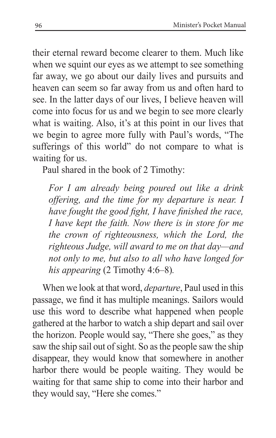their eternal reward become clearer to them. Much like when we squint our eyes as we attempt to see something far away, we go about our daily lives and pursuits and heaven can seem so far away from us and often hard to see. In the latter days of our lives, I believe heaven will come into focus for us and we begin to see more clearly what is waiting. Also, it's at this point in our lives that we begin to agree more fully with Paul's words, "The sufferings of this world" do not compare to what is waiting for us.

Paul shared in the book of 2 Timothy:

*For I am already being poured out like a drink offering, and the time for my departure is near. I have fought the good fight, I have finished the race, I have kept the faith. Now there is in store for me the crown of righteousness, which the Lord, the righteous Judge, will award to me on that day—and not only to me, but also to all who have longed for his appearing* (2 Timothy 4:6–8)*.*

When we look at that word, *departure*, Paul used in this passage, we find it has multiple meanings. Sailors would use this word to describe what happened when people gathered at the harbor to watch a ship depart and sail over the horizon. People would say, "There she goes," as they saw the ship sail out of sight. So as the people saw the ship disappear, they would know that somewhere in another harbor there would be people waiting. They would be waiting for that same ship to come into their harbor and they would say, "Here she comes."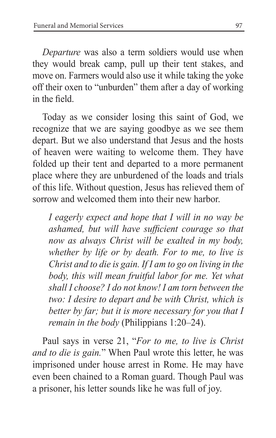*Departure* was also a term soldiers would use when they would break camp, pull up their tent stakes, and move on. Farmers would also use it while taking the yoke off their oxen to "unburden" them after a day of working in the field.

Today as we consider losing this saint of God, we recognize that we are saying goodbye as we see them depart. But we also understand that Jesus and the hosts of heaven were waiting to welcome them. They have folded up their tent and departed to a more permanent place where they are unburdened of the loads and trials of this life. Without question, Jesus has relieved them of sorrow and welcomed them into their new harbor.

*I eagerly expect and hope that I will in no way be ashamed, but will have sufficient courage so that now as always Christ will be exalted in my body, whether by life or by death. For to me, to live is Christ and to die is gain. If I am to go on living in the body, this will mean fruitful labor for me. Yet what shall I choose? I do not know! I am torn between the two: I desire to depart and be with Christ, which is better by far; but it is more necessary for you that I remain in the body* (Philippians 1:20–24).

Paul says in verse 21, "*For to me, to live is Christ and to die is gain.*" When Paul wrote this letter, he was imprisoned under house arrest in Rome. He may have even been chained to a Roman guard. Though Paul was a prisoner, his letter sounds like he was full of joy.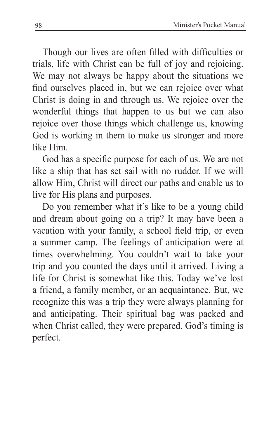Though our lives are often filled with difficulties or trials, life with Christ can be full of joy and rejoicing. We may not always be happy about the situations we find ourselves placed in, but we can rejoice over what Christ is doing in and through us. We rejoice over the wonderful things that happen to us but we can also rejoice over those things which challenge us, knowing God is working in them to make us stronger and more like Him.

God has a specific purpose for each of us. We are not like a ship that has set sail with no rudder. If we will allow Him, Christ will direct our paths and enable us to live for His plans and purposes.

Do you remember what it's like to be a young child and dream about going on a trip? It may have been a vacation with your family, a school field trip, or even a summer camp. The feelings of anticipation were at times overwhelming. You couldn't wait to take your trip and you counted the days until it arrived. Living a life for Christ is somewhat like this. Today we've lost a friend, a family member, or an acquaintance. But, we recognize this was a trip they were always planning for and anticipating. Their spiritual bag was packed and when Christ called, they were prepared. God's timing is perfect.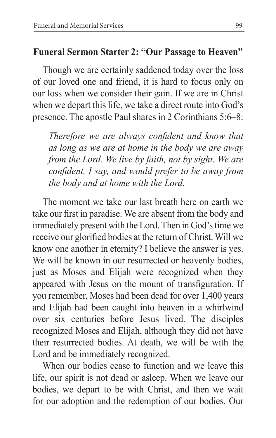#### **Funeral Sermon Starter 2: "Our Passage to Heaven"**

Though we are certainly saddened today over the loss of our loved one and friend, it is hard to focus only on our loss when we consider their gain. If we are in Christ when we depart this life, we take a direct route into God's presence. The apostle Paul shares in 2 Corinthians 5:6–8:

*Therefore we are always confident and know that as long as we are at home in the body we are away from the Lord. We live by faith, not by sight. We are confident, I say, and would prefer to be away from the body and at home with the Lord.* 

The moment we take our last breath here on earth we take our first in paradise. We are absent from the body and immediately present with the Lord. Then in God's time we receive our glorified bodies at the return of Christ. Will we know one another in eternity? I believe the answer is yes. We will be known in our resurrected or heavenly bodies, just as Moses and Elijah were recognized when they appeared with Jesus on the mount of transfiguration. If you remember, Moses had been dead for over 1,400 years and Elijah had been caught into heaven in a whirlwind over six centuries before Jesus lived. The disciples recognized Moses and Elijah, although they did not have their resurrected bodies. At death, we will be with the Lord and be immediately recognized.

When our bodies cease to function and we leave this life, our spirit is not dead or asleep. When we leave our bodies, we depart to be with Christ, and then we wait for our adoption and the redemption of our bodies. Our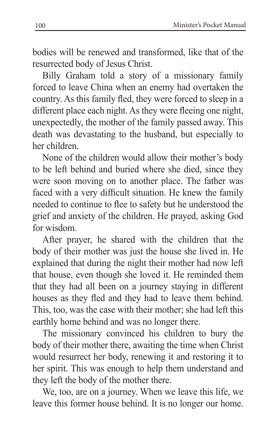bodies will be renewed and transformed, like that of the resurrected body of Jesus Christ.

Billy Graham told a story of a missionary family forced to leave China when an enemy had overtaken the country. As this family fled, they were forced to sleep in a different place each night. As they were fleeing one night, unexpectedly, the mother of the family passed away. This death was devastating to the husband, but especially to her children.

None of the children would allow their mother's body to be left behind and buried where she died, since they were soon moving on to another place. The father was faced with a very difficult situation. He knew the family needed to continue to flee to safety but he understood the grief and anxiety of the children. He prayed, asking God for wisdom.

After prayer, he shared with the children that the body of their mother was just the house she lived in. He explained that during the night their mother had now left that house, even though she loved it. He reminded them that they had all been on a journey staying in different houses as they fled and they had to leave them behind. This, too, was the case with their mother; she had left this earthly home behind and was no longer there.

The missionary convinced his children to bury the body of their mother there, awaiting the time when Christ would resurrect her body, renewing it and restoring it to her spirit. This was enough to help them understand and they left the body of the mother there.

We, too, are on a journey. When we leave this life, we leave this former house behind. It is no longer our home.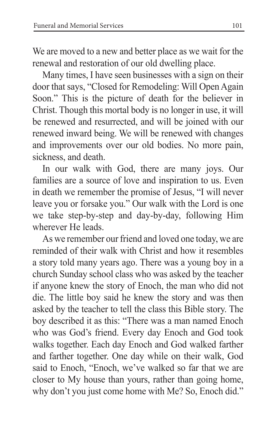We are moved to a new and better place as we wait for the renewal and restoration of our old dwelling place.

Many times, I have seen businesses with a sign on their door that says, "Closed for Remodeling: Will Open Again Soon." This is the picture of death for the believer in Christ. Though this mortal body is no longer in use, it will be renewed and resurrected, and will be joined with our renewed inward being. We will be renewed with changes and improvements over our old bodies. No more pain, sickness, and death.

In our walk with God, there are many joys. Our families are a source of love and inspiration to us. Even in death we remember the promise of Jesus, "I will never leave you or forsake you." Our walk with the Lord is one we take step-by-step and day-by-day, following Him wherever He leads.

As we remember our friend and loved one today, we are reminded of their walk with Christ and how it resembles a story told many years ago. There was a young boy in a church Sunday school class who was asked by the teacher if anyone knew the story of Enoch, the man who did not die. The little boy said he knew the story and was then asked by the teacher to tell the class this Bible story. The boy described it as this: "There was a man named Enoch who was God's friend. Every day Enoch and God took walks together. Each day Enoch and God walked farther and farther together. One day while on their walk, God said to Enoch, "Enoch, we've walked so far that we are closer to My house than yours, rather than going home, why don't you just come home with Me? So, Enoch did."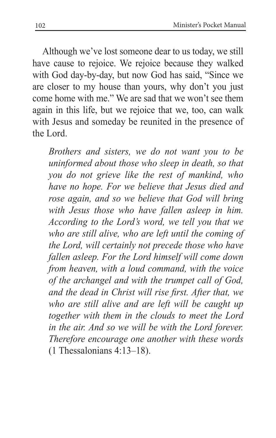Although we've lost someone dear to us today, we still have cause to rejoice. We rejoice because they walked with God day-by-day, but now God has said, "Since we are closer to my house than yours, why don't you just come home with me." We are sad that we won't see them again in this life, but we rejoice that we, too, can walk with Jesus and someday be reunited in the presence of the Lord.

*Brothers and sisters, we do not want you to be uninformed about those who sleep in death, so that you do not grieve like the rest of mankind, who have no hope. For we believe that Jesus died and rose again, and so we believe that God will bring with Jesus those who have fallen asleep in him. According to the Lord's word, we tell you that we who are still alive, who are left until the coming of the Lord, will certainly not precede those who have fallen asleep. For the Lord himself will come down from heaven, with a loud command, with the voice of the archangel and with the trumpet call of God, and the dead in Christ will rise first. After that, we who are still alive and are left will be caught up together with them in the clouds to meet the Lord in the air. And so we will be with the Lord forever. Therefore encourage one another with these words*  (1 Thessalonians 4:13–18).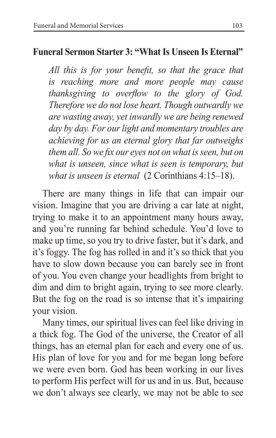#### **Funeral Sermon Starter 3: "What Is Unseen Is Eternal"**

*All this is for your benefit, so that the grace that is reaching more and more people may cause thanksgiving to overflow to the glory of God. Therefore we do not lose heart. Though outwardly we are wasting away, yet inwardly we are being renewed day by day. For our light and momentary troubles are achieving for us an eternal glory that far outweighs them all. So we fix our eyes not on what is seen, but on what is unseen, since what is seen is temporary, but what is unseen is eternal* (2 Corinthians 4:15–18).

There are many things in life that can impair our vision. Imagine that you are driving a car late at night, trying to make it to an appointment many hours away, and you're running far behind schedule. You'd love to make up time, so you try to drive faster, but it's dark, and it's foggy. The fog has rolled in and it's so thick that you have to slow down because you can barely see in front of you. You even change your headlights from bright to dim and dim to bright again, trying to see more clearly. But the fog on the road is so intense that it's impairing your vision.

Many times, our spiritual lives can feel like driving in a thick fog. The God of the universe, the Creator of all things, has an eternal plan for each and every one of us. His plan of love for you and for me began long before we were even born. God has been working in our lives to perform His perfect will for us and in us. But, because we don't always see clearly, we may not be able to see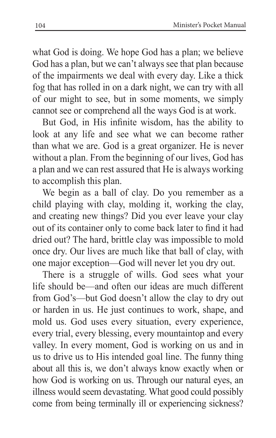what God is doing. We hope God has a plan; we believe God has a plan, but we can't always see that plan because of the impairments we deal with every day. Like a thick fog that has rolled in on a dark night, we can try with all of our might to see, but in some moments, we simply cannot see or comprehend all the ways God is at work.

But God, in His infinite wisdom, has the ability to look at any life and see what we can become rather than what we are. God is a great organizer. He is never without a plan. From the beginning of our lives, God has a plan and we can rest assured that He is always working to accomplish this plan.

We begin as a ball of clay. Do you remember as a child playing with clay, molding it, working the clay, and creating new things? Did you ever leave your clay out of its container only to come back later to find it had dried out? The hard, brittle clay was impossible to mold once dry. Our lives are much like that ball of clay, with one major exception—God will never let you dry out.

There is a struggle of wills. God sees what your life should be—and often our ideas are much different from God's—but God doesn't allow the clay to dry out or harden in us. He just continues to work, shape, and mold us. God uses every situation, every experience, every trial, every blessing, every mountaintop and every valley. In every moment, God is working on us and in us to drive us to His intended goal line. The funny thing about all this is, we don't always know exactly when or how God is working on us. Through our natural eyes, an illness would seem devastating. What good could possibly come from being terminally ill or experiencing sickness?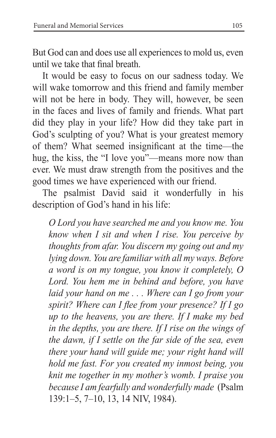But God can and does use all experiences to mold us, even until we take that final breath.

It would be easy to focus on our sadness today. We will wake tomorrow and this friend and family member will not be here in body. They will, however, be seen in the faces and lives of family and friends. What part did they play in your life? How did they take part in God's sculpting of you? What is your greatest memory of them? What seemed insignificant at the time—the hug, the kiss, the "I love you"—means more now than ever. We must draw strength from the positives and the good times we have experienced with our friend.

The psalmist David said it wonderfully in his description of God's hand in his life:

*O Lord you have searched me and you know me. You know when I sit and when I rise. You perceive by thoughts from afar. You discern my going out and my lying down. You are familiar with all my ways. Before a word is on my tongue, you know it completely, O Lord. You hem me in behind and before, you have laid your hand on me . . . Where can I go from your spirit? Where can I flee from your presence? If I go up to the heavens, you are there. If I make my bed in the depths, you are there. If I rise on the wings of the dawn, if I settle on the far side of the sea, even there your hand will guide me; your right hand will hold me fast. For you created my inmost being, you knit me together in my mother's womb. I praise you because I am fearfully and wonderfully made* (Psalm 139:1–5, 7–10, 13, 14 NIV, 1984).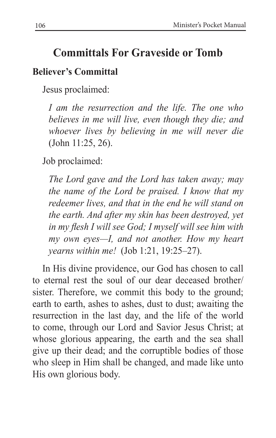# **Committals For Graveside or Tomb**

## **Believer's Committal**

Jesus proclaimed:

*I am the resurrection and the life. The one who believes in me will live, even though they die; and whoever lives by believing in me will never die*  (John 11:25, 26).

Job proclaimed:

*The Lord gave and the Lord has taken away; may the name of the Lord be praised. I know that my redeemer lives, and that in the end he will stand on the earth. And after my skin has been destroyed, yet in my flesh I will see God; I myself will see him with my own eyes—I, and not another. How my heart yearns within me!* (Job 1:21, 19:25–27).

In His divine providence, our God has chosen to call to eternal rest the soul of our dear deceased brother/ sister. Therefore, we commit this body to the ground; earth to earth, ashes to ashes, dust to dust; awaiting the resurrection in the last day, and the life of the world to come, through our Lord and Savior Jesus Christ; at whose glorious appearing, the earth and the sea shall give up their dead; and the corruptible bodies of those who sleep in Him shall be changed, and made like unto His own glorious body.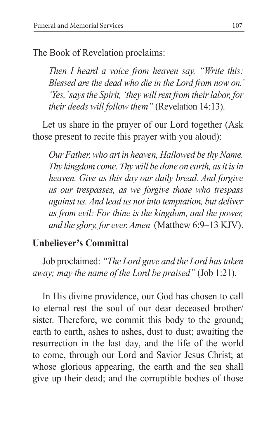The Book of Revelation proclaims:

*Then I heard a voice from heaven say, "Write this: Blessed are the dead who die in the Lord from now on.' 'Yes,' says the Spirit, 'they will rest from their labor, for their deeds will follow them"* (Revelation 14:13).

Let us share in the prayer of our Lord together (Ask those present to recite this prayer with you aloud):

*Our Father, who art in heaven, Hallowed be thy Name. Thy kingdom come. Thy will be done on earth, as it is in heaven. Give us this day our daily bread. And forgive us our trespasses, as we forgive those who trespass against us. And lead us not into temptation, but deliver us from evil: For thine is the kingdom, and the power, and the glory, for ever. Amen* (Matthew 6:9–13 KJV).

#### **Unbeliever's Committal**

Job proclaimed: *"The Lord gave and the Lord has taken away; may the name of the Lord be praised"* (Job 1:21).

In His divine providence, our God has chosen to call to eternal rest the soul of our dear deceased brother/ sister. Therefore, we commit this body to the ground; earth to earth, ashes to ashes, dust to dust; awaiting the resurrection in the last day, and the life of the world to come, through our Lord and Savior Jesus Christ; at whose glorious appearing, the earth and the sea shall give up their dead; and the corruptible bodies of those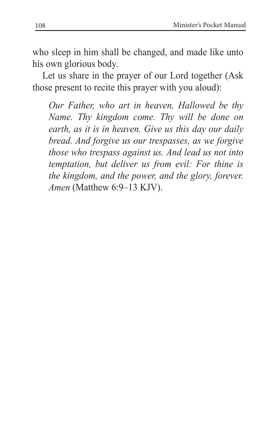who sleep in him shall be changed, and made like unto his own glorious body.

Let us share in the prayer of our Lord together (Ask those present to recite this prayer with you aloud):

*Our Father, who art in heaven, Hallowed be thy Name. Thy kingdom come. Thy will be done on earth, as it is in heaven. Give us this day our daily bread. And forgive us our trespasses, as we forgive those who trespass against us. And lead us not into temptation, but deliver us from evil: For thine is the kingdom, and the power, and the glory, forever. Amen* (Matthew 6:9–13 KJV).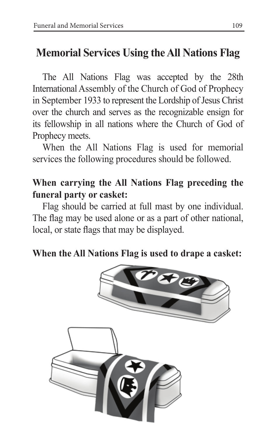# **Memorial Services Using the All Nations Flag**

The All Nations Flag was accepted by the 28th International Assembly of the Church of God of Prophecy in September 1933 to represent the Lordship of Jesus Christ over the church and serves as the recognizable ensign for its fellowship in all nations where the Church of God of Prophecy meets.

When the All Nations Flag is used for memorial services the following procedures should be followed.

### **When carrying the All Nations Flag preceding the funeral party or casket:**

Flag should be carried at full mast by one individual. The flag may be used alone or as a part of other national, local, or state flags that may be displayed.

#### **When the All Nations Flag is used to drape a casket:**

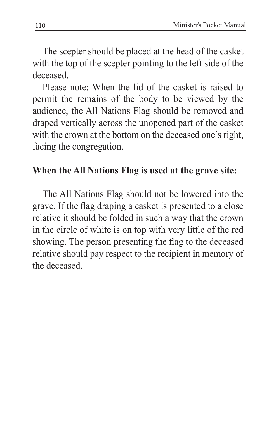The scepter should be placed at the head of the casket with the top of the scepter pointing to the left side of the deceased.

Please note: When the lid of the casket is raised to permit the remains of the body to be viewed by the audience, the All Nations Flag should be removed and draped vertically across the unopened part of the casket with the crown at the bottom on the deceased one's right, facing the congregation.

#### **When the All Nations Flag is used at the grave site:**

The All Nations Flag should not be lowered into the grave. If the flag draping a casket is presented to a close relative it should be folded in such a way that the crown in the circle of white is on top with very little of the red showing. The person presenting the flag to the deceased relative should pay respect to the recipient in memory of the deceased.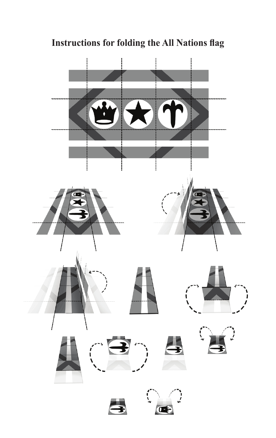

**Instructions for folding the All Nations flag**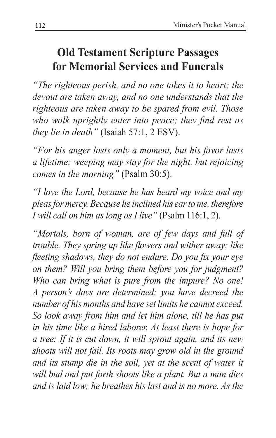# **Old Testament Scripture Passages for Memorial Services and Funerals**

*"The righteous perish, and no one takes it to heart; the devout are taken away, and no one understands that the righteous are taken away to be spared from evil. Those who walk uprightly enter into peace; they find rest as they lie in death"* (Isaiah 57:1, 2 ESV).

*"For his anger lasts only a moment, but his favor lasts a lifetime; weeping may stay for the night, but rejoicing comes in the morning"* (Psalm 30:5).

*"I love the Lord, because he has heard my voice and my pleas for mercy. Because he inclined his ear to me, therefore I will call on him as long as I live"* (Psalm 116:1, 2).

*"Mortals, born of woman, are of few days and full of trouble. They spring up like flowers and wither away; like fleeting shadows, they do not endure. Do you fix your eye on them? Will you bring them before you for judgment? Who can bring what is pure from the impure? No one! A person's days are determined; you have decreed the number of his months and have set limits he cannot exceed. So look away from him and let him alone, till he has put in his time like a hired laborer. At least there is hope for a tree: If it is cut down, it will sprout again, and its new shoots will not fail. Its roots may grow old in the ground and its stump die in the soil, yet at the scent of water it will bud and put forth shoots like a plant. But a man dies and is laid low; he breathes his last and is no more. As the*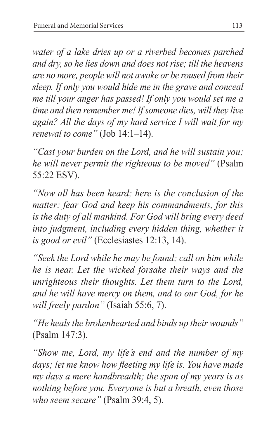*water of a lake dries up or a riverbed becomes parched and dry, so he lies down and does not rise; till the heavens are no more, people will not awake or be roused from their sleep. If only you would hide me in the grave and conceal me till your anger has passed! If only you would set me a time and then remember me! If someone dies, will they live again? All the days of my hard service I will wait for my renewal to come"* (Job 14:1–14).

*"Cast your burden on the Lord, and he will sustain you; he will never permit the righteous to be moved"* (Psalm 55:22 ESV).

*"Now all has been heard; here is the conclusion of the matter: fear God and keep his commandments, for this is the duty of all mankind. For God will bring every deed into judgment, including every hidden thing, whether it is good or evil"* (Ecclesiastes 12:13, 14).

*"Seek the Lord while he may be found; call on him while he is near. Let the wicked forsake their ways and the unrighteous their thoughts. Let them turn to the Lord, and he will have mercy on them, and to our God, for he will freely pardon"* (Isaiah 55:6, 7).

*"He heals the brokenhearted and binds up their wounds"*  (Psalm 147:3).

*"Show me, Lord, my life's end and the number of my days; let me know how fleeting my life is. You have made my days a mere handbreadth; the span of my years is as nothing before you. Everyone is but a breath, even those who seem secure"* (Psalm 39:4, 5).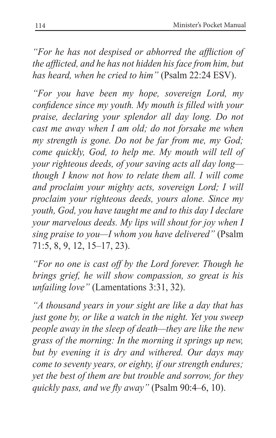*"For he has not despised or abhorred the affliction of the afflicted, and he has not hidden his face from him, but has heard, when he cried to him"* (Psalm 22:24 ESV).

*"For you have been my hope, sovereign Lord, my confidence since my youth. My mouth is filled with your praise, declaring your splendor all day long. Do not cast me away when I am old; do not forsake me when my strength is gone. Do not be far from me, my God; come quickly, God, to help me. My mouth will tell of your righteous deeds, of your saving acts all day long though I know not how to relate them all. I will come and proclaim your mighty acts, sovereign Lord; I will proclaim your righteous deeds, yours alone. Since my youth, God, you have taught me and to this day I declare your marvelous deeds. My lips will shout for joy when I sing praise to you—I whom you have delivered"* (Psalm 71:5, 8, 9, 12, 15–17, 23).

*"For no one is cast off by the Lord forever. Though he brings grief, he will show compassion, so great is his unfailing love"* (Lamentations 3:31, 32).

*"A thousand years in your sight are like a day that has just gone by, or like a watch in the night. Yet you sweep people away in the sleep of death—they are like the new grass of the morning: In the morning it springs up new, but by evening it is dry and withered. Our days may come to seventy years, or eighty, if our strength endures; yet the best of them are but trouble and sorrow, for they quickly pass, and we fly away"* (Psalm 90:4–6, 10).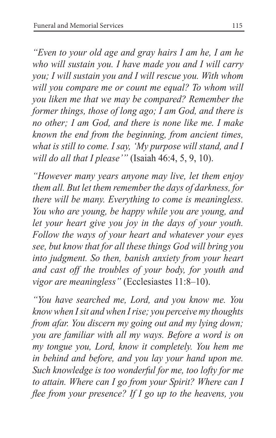*"Even to your old age and gray hairs I am he, I am he who will sustain you. I have made you and I will carry you; I will sustain you and I will rescue you. With whom will you compare me or count me equal? To whom will you liken me that we may be compared? Remember the former things, those of long ago; I am God, and there is no other; I am God, and there is none like me. I make known the end from the beginning, from ancient times, what is still to come. I say, 'My purpose will stand, and I will do all that I please'"* (Isaiah 46:4, 5, 9, 10).

*"However many years anyone may live, let them enjoy them all. But let them remember the days of darkness, for there will be many. Everything to come is meaningless. You who are young, be happy while you are young, and let your heart give you joy in the days of your youth. Follow the ways of your heart and whatever your eyes see, but know that for all these things God will bring you into judgment. So then, banish anxiety from your heart and cast off the troubles of your body, for youth and vigor are meaningless"* (Ecclesiastes 11:8–10).

*"You have searched me, Lord, and you know me. You know when I sit and when I rise; you perceive my thoughts from afar. You discern my going out and my lying down; you are familiar with all my ways. Before a word is on my tongue you, Lord, know it completely. You hem me in behind and before, and you lay your hand upon me. Such knowledge is too wonderful for me, too lofty for me to attain. Where can I go from your Spirit? Where can I flee from your presence? If I go up to the heavens, you*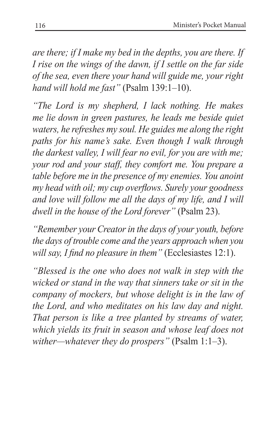*are there; if I make my bed in the depths, you are there. If I rise on the wings of the dawn, if I settle on the far side of the sea, even there your hand will guide me, your right hand will hold me fast"* (Psalm 139:1–10).

*"The Lord is my shepherd, I lack nothing. He makes me lie down in green pastures, he leads me beside quiet waters, he refreshes my soul. He guides me along the right paths for his name's sake. Even though I walk through the darkest valley, I will fear no evil, for you are with me; your rod and your staff, they comfort me. You prepare a table before me in the presence of my enemies. You anoint my head with oil; my cup overflows. Surely your goodness and love will follow me all the days of my life, and I will dwell in the house of the Lord forever"* (Psalm 23).

*"Remember your Creator in the days of your youth, before the days of trouble come and the years approach when you will say, I find no pleasure in them"* (Ecclesiastes 12:1).

*"Blessed is the one who does not walk in step with the wicked or stand in the way that sinners take or sit in the company of mockers, but whose delight is in the law of the Lord, and who meditates on his law day and night. That person is like a tree planted by streams of water, which yields its fruit in season and whose leaf does not wither—whatever they do prospers"* (Psalm 1:1–3).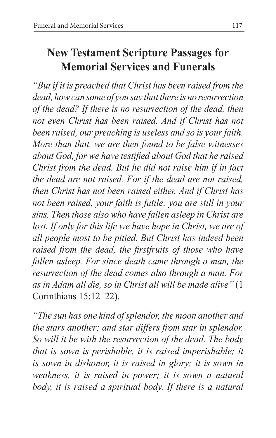# **New Testament Scripture Passages for Memorial Services and Funerals**

*"But if it is preached that Christ has been raised from the dead, how can some of you say that there is no resurrection of the dead? If there is no resurrection of the dead, then not even Christ has been raised. And if Christ has not been raised, our preaching is useless and so is your faith. More than that, we are then found to be false witnesses about God, for we have testified about God that he raised Christ from the dead. But he did not raise him if in fact the dead are not raised. For if the dead are not raised, then Christ has not been raised either. And if Christ has not been raised, your faith is futile; you are still in your sins. Then those also who have fallen asleep in Christ are*  lost. If only for this life we have hope in Christ, we are of *all people most to be pitied. But Christ has indeed been raised from the dead, the firstfruits of those who have fallen asleep. For since death came through a man, the resurrection of the dead comes also through a man. For as in Adam all die, so in Christ all will be made alive"* (1 Corinthians 15:12–22).

*"The sun has one kind of splendor, the moon another and the stars another; and star differs from star in splendor. So will it be with the resurrection of the dead. The body that is sown is perishable, it is raised imperishable; it is sown in dishonor, it is raised in glory; it is sown in weakness, it is raised in power; it is sown a natural body, it is raised a spiritual body. If there is a natural*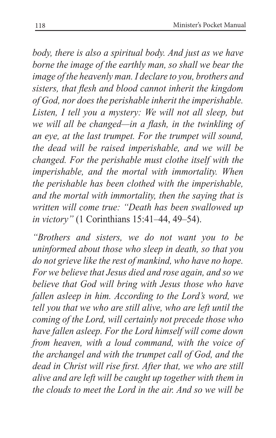*body, there is also a spiritual body. And just as we have borne the image of the earthly man, so shall we bear the image of the heavenly man. I declare to you, brothers and sisters, that flesh and blood cannot inherit the kingdom of God, nor does the perishable inherit the imperishable. Listen, I tell you a mystery: We will not all sleep, but we will all be changed—in a flash, in the twinkling of an eye, at the last trumpet. For the trumpet will sound, the dead will be raised imperishable, and we will be changed. For the perishable must clothe itself with the imperishable, and the mortal with immortality. When the perishable has been clothed with the imperishable, and the mortal with immortality, then the saying that is written will come true: "Death has been swallowed up in victory"* (1 Corinthians 15:41–44, 49–54).

*"Brothers and sisters, we do not want you to be uninformed about those who sleep in death, so that you do not grieve like the rest of mankind, who have no hope. For we believe that Jesus died and rose again, and so we believe that God will bring with Jesus those who have fallen asleep in him. According to the Lord's word, we tell you that we who are still alive, who are left until the coming of the Lord, will certainly not precede those who have fallen asleep. For the Lord himself will come down from heaven, with a loud command, with the voice of the archangel and with the trumpet call of God, and the dead in Christ will rise first. After that, we who are still alive and are left will be caught up together with them in the clouds to meet the Lord in the air. And so we will be*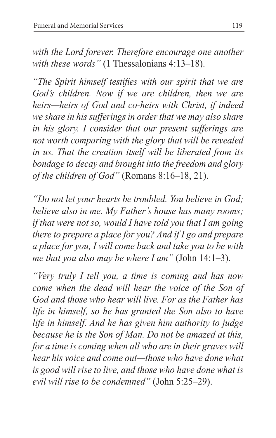*with the Lord forever. Therefore encourage one another with these words"* (1 Thessalonians 4:13–18).

*"The Spirit himself testifies with our spirit that we are God's children. Now if we are children, then we are heirs—heirs of God and co-heirs with Christ, if indeed we share in his sufferings in order that we may also share in his glory. I consider that our present sufferings are not worth comparing with the glory that will be revealed in us. That the creation itself will be liberated from its bondage to decay and brought into the freedom and glory of the children of God"* (Romans 8:16–18, 21).

*"Do not let your hearts be troubled. You believe in God; believe also in me. My Father's house has many rooms; if that were not so, would I have told you that I am going there to prepare a place for you? And if I go and prepare a place for you, I will come back and take you to be with me that you also may be where I am"* (John 14:1–3).

*"Very truly I tell you, a time is coming and has now come when the dead will hear the voice of the Son of God and those who hear will live. For as the Father has life in himself, so he has granted the Son also to have life in himself. And he has given him authority to judge because he is the Son of Man. Do not be amazed at this, for a time is coming when all who are in their graves will hear his voice and come out—those who have done what is good will rise to live, and those who have done what is evil will rise to be condemned"* (John 5:25–29).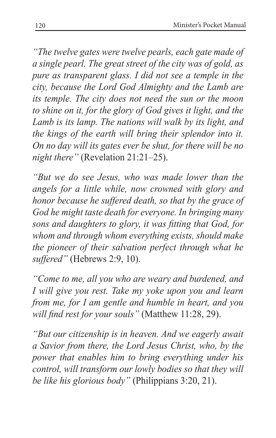*"The twelve gates were twelve pearls, each gate made of a single pearl. The great street of the city was of gold, as pure as transparent glass. I did not see a temple in the city, because the Lord God Almighty and the Lamb are its temple. The city does not need the sun or the moon to shine on it, for the glory of God gives it light, and the Lamb is its lamp. The nations will walk by its light, and the kings of the earth will bring their splendor into it. On no day will its gates ever be shut, for there will be no night there"* (Revelation 21:21–25).

*"But we do see Jesus, who was made lower than the angels for a little while, now crowned with glory and honor because he suffered death, so that by the grace of God he might taste death for everyone. In bringing many sons and daughters to glory, it was fitting that God, for whom and through whom everything exists, should make the pioneer of their salvation perfect through what he suffered"* (Hebrews 2:9, 10).

*"Come to me, all you who are weary and burdened, and I will give you rest. Take my yoke upon you and learn from me, for I am gentle and humble in heart, and you will find rest for your souls"* (Matthew 11:28, 29).

*"But our citizenship is in heaven. And we eagerly await a Savior from there, the Lord Jesus Christ, who, by the power that enables him to bring everything under his control, will transform our lowly bodies so that they will be like his glorious body"* (Philippians 3:20, 21).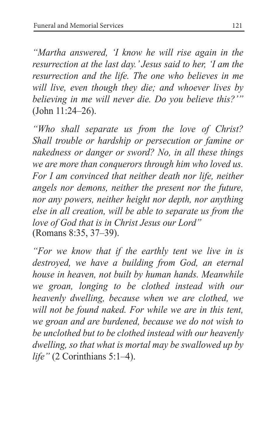*"Martha answered, 'I know he will rise again in the resurrection at the last day.' Jesus said to her, 'I am the resurrection and the life. The one who believes in me will live, even though they die; and whoever lives by believing in me will never die. Do you believe this?'"*  (John 11:24–26).

*"Who shall separate us from the love of Christ? Shall trouble or hardship or persecution or famine or nakedness or danger or sword? No, in all these things we are more than conquerors through him who loved us. For I am convinced that neither death nor life, neither angels nor demons, neither the present nor the future, nor any powers, neither height nor depth, nor anything else in all creation, will be able to separate us from the love of God that is in Christ Jesus our Lord"* (Romans 8:35, 37–39).

*"For we know that if the earthly tent we live in is destroyed, we have a building from God, an eternal house in heaven, not built by human hands. Meanwhile we groan, longing to be clothed instead with our heavenly dwelling, because when we are clothed, we will not be found naked. For while we are in this tent, we groan and are burdened, because we do not wish to be unclothed but to be clothed instead with our heavenly dwelling, so that what is mortal may be swallowed up by life"* (2 Corinthians 5:1–4).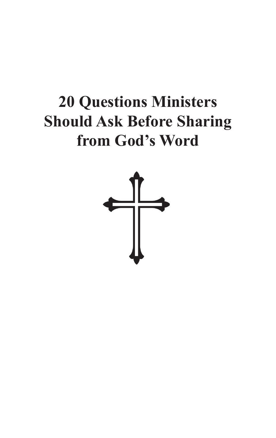# **20 Questions Ministers Should Ask Before Sharing from God's Word**

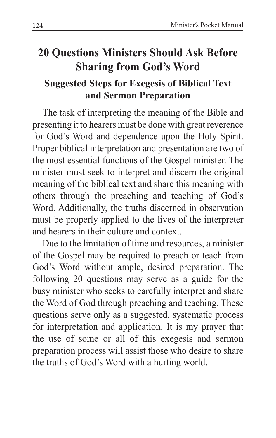# **20 Questions Ministers Should Ask Before Sharing from God's Word Suggested Steps for Exegesis of Biblical Text and Sermon Preparation**

The task of interpreting the meaning of the Bible and presenting it to hearers must be done with great reverence for God's Word and dependence upon the Holy Spirit. Proper biblical interpretation and presentation are two of the most essential functions of the Gospel minister. The minister must seek to interpret and discern the original meaning of the biblical text and share this meaning with others through the preaching and teaching of God's Word. Additionally, the truths discerned in observation must be properly applied to the lives of the interpreter and hearers in their culture and context.

Due to the limitation of time and resources, a minister of the Gospel may be required to preach or teach from God's Word without ample, desired preparation. The following 20 questions may serve as a guide for the busy minister who seeks to carefully interpret and share the Word of God through preaching and teaching. These questions serve only as a suggested, systematic process for interpretation and application. It is my prayer that the use of some or all of this exegesis and sermon preparation process will assist those who desire to share the truths of God's Word with a hurting world.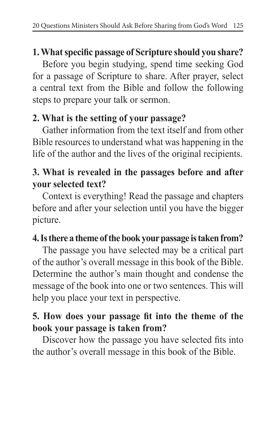### **1. What specific passage of Scripture should you share?**

Before you begin studying, spend time seeking God for a passage of Scripture to share. After prayer, select a central text from the Bible and follow the following steps to prepare your talk or sermon.

#### **2. What is the setting of your passage?**

Gather information from the text itself and from other Bible resources to understand what was happening in the life of the author and the lives of the original recipients.

### **3. What is revealed in the passages before and after your selected text?**

Context is everything! Read the passage and chapters before and after your selection until you have the bigger picture.

### **4. Is there a theme of the book your passage is taken from?**

The passage you have selected may be a critical part of the author's overall message in this book of the Bible. Determine the author's main thought and condense the message of the book into one or two sentences. This will help you place your text in perspective.

## **5. How does your passage fit into the theme of the book your passage is taken from?**

Discover how the passage you have selected fits into the author's overall message in this book of the Bible.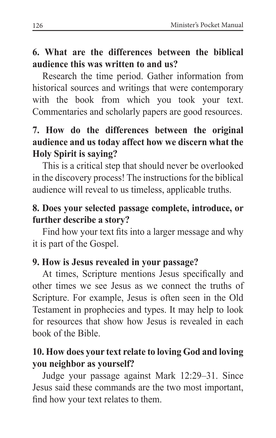# **6. What are the differences between the biblical audience this was written to and us?**

Research the time period. Gather information from historical sources and writings that were contemporary with the book from which you took your text. Commentaries and scholarly papers are good resources.

# **7. How do the differences between the original audience and us today affect how we discern what the Holy Spirit is saying?**

This is a critical step that should never be overlooked in the discovery process! The instructions for the biblical audience will reveal to us timeless, applicable truths.

# **8. Does your selected passage complete, introduce, or further describe a story?**

Find how your text fits into a larger message and why it is part of the Gospel.

## **9. How is Jesus revealed in your passage?**

At times, Scripture mentions Jesus specifically and other times we see Jesus as we connect the truths of Scripture. For example, Jesus is often seen in the Old Testament in prophecies and types. It may help to look for resources that show how Jesus is revealed in each book of the Bible.

# **10. How does your text relate to loving God and loving you neighbor as yourself?**

Judge your passage against Mark 12:29–31. Since Jesus said these commands are the two most important, find how your text relates to them.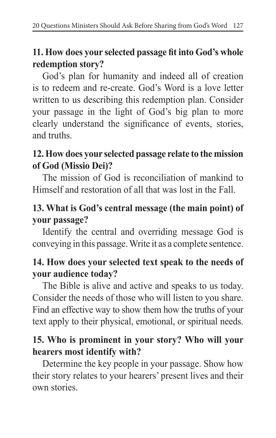# **11. How does your selected passage fit into God's whole redemption story?**

God's plan for humanity and indeed all of creation is to redeem and re-create. God's Word is a love letter written to us describing this redemption plan. Consider your passage in the light of God's big plan to more clearly understand the significance of events, stories, and truths.

## **12. How does your selected passage relate to the mission of God (Missio Dei)?**

The mission of God is reconciliation of mankind to Himself and restoration of all that was lost in the Fall.

# **13. What is God's central message (the main point) of your passage?**

Identify the central and overriding message God is conveying in this passage. Write it as a complete sentence.

### **14. How does your selected text speak to the needs of your audience today?**

The Bible is alive and active and speaks to us today. Consider the needs of those who will listen to you share. Find an effective way to show them how the truths of your text apply to their physical, emotional, or spiritual needs.

### **15. Who is prominent in your story? Who will your hearers most identify with?**

Determine the key people in your passage. Show how their story relates to your hearers' present lives and their own stories.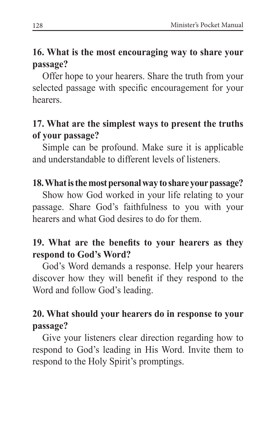# **16. What is the most encouraging way to share your passage?**

Offer hope to your hearers. Share the truth from your selected passage with specific encouragement for your hearers.

#### **17. What are the simplest ways to present the truths of your passage?**

Simple can be profound. Make sure it is applicable and understandable to different levels of listeners.

#### **18. What is the most personal way to share your passage?**

Show how God worked in your life relating to your passage. Share God's faithfulness to you with your hearers and what God desires to do for them.

#### **19. What are the benefits to your hearers as they respond to God's Word?**

God's Word demands a response. Help your hearers discover how they will benefit if they respond to the Word and follow God's leading.

### **20. What should your hearers do in response to your passage?**

Give your listeners clear direction regarding how to respond to God's leading in His Word. Invite them to respond to the Holy Spirit's promptings.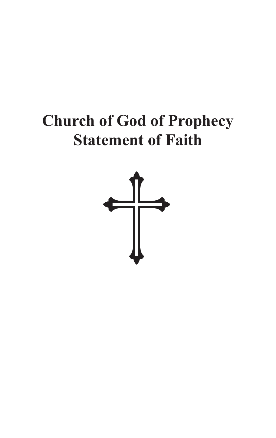# **Church of God of Prophecy Statement of Faith**

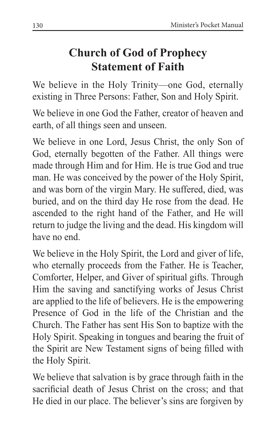# **Church of God of Prophecy Statement of Faith**

We believe in the Holy Trinity—one God, eternally existing in Three Persons: Father, Son and Holy Spirit.

We believe in one God the Father, creator of heaven and earth, of all things seen and unseen.

We believe in one Lord, Jesus Christ, the only Son of God, eternally begotten of the Father. All things were made through Him and for Him. He is true God and true man. He was conceived by the power of the Holy Spirit, and was born of the virgin Mary. He suffered, died, was buried, and on the third day He rose from the dead. He ascended to the right hand of the Father, and He will return to judge the living and the dead. His kingdom will have no end.

We believe in the Holy Spirit, the Lord and giver of life, who eternally proceeds from the Father. He is Teacher, Comforter, Helper, and Giver of spiritual gifts. Through Him the saving and sanctifying works of Jesus Christ are applied to the life of believers. He is the empowering Presence of God in the life of the Christian and the Church. The Father has sent His Son to baptize with the Holy Spirit. Speaking in tongues and bearing the fruit of the Spirit are New Testament signs of being filled with the Holy Spirit.

We believe that salvation is by grace through faith in the sacrificial death of Jesus Christ on the cross; and that He died in our place. The believer's sins are forgiven by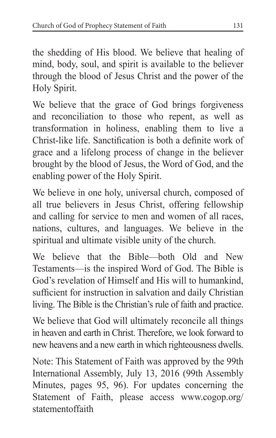the shedding of His blood. We believe that healing of mind, body, soul, and spirit is available to the believer through the blood of Jesus Christ and the power of the Holy Spirit.

We believe that the grace of God brings forgiveness and reconciliation to those who repent, as well as transformation in holiness, enabling them to live a Christ-like life. Sanctification is both a definite work of grace and a lifelong process of change in the believer brought by the blood of Jesus, the Word of God, and the enabling power of the Holy Spirit.

We believe in one holy, universal church, composed of all true believers in Jesus Christ, offering fellowship and calling for service to men and women of all races, nations, cultures, and languages. We believe in the spiritual and ultimate visible unity of the church.

We believe that the Bible—both Old and New Testaments—is the inspired Word of God. The Bible is God's revelation of Himself and His will to humankind, sufficient for instruction in salvation and daily Christian living. The Bible is the Christian's rule of faith and practice.

We believe that God will ultimately reconcile all things in heaven and earth in Christ. Therefore, we look forward to new heavens and a new earth in which righteousness dwells.

Note: This Statement of Faith was approved by the 99th International Assembly, July 13, 2016 (99th Assembly Minutes, pages 95, 96). For updates concerning the Statement of Faith, please access www.cogop.org/ statementoffaith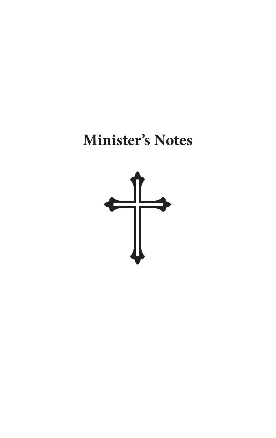# **Minister's Notes**